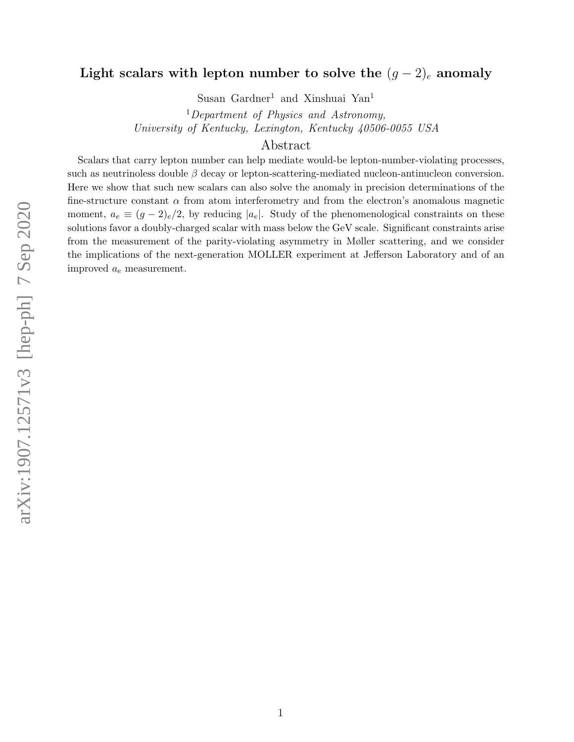# Light scalars with lepton number to solve the  $(g-2)_e$  anomaly

Susan Gardner<sup>1</sup> and Xinshuai Yan<sup>1</sup>

<sup>1</sup>Department of Physics and Astronomy, University of Kentucky, Lexington, Kentucky 40506-0055 USA

## Abstract

Scalars that carry lepton number can help mediate would-be lepton-number-violating processes, such as neutrinoless double  $\beta$  decay or lepton-scattering-mediated nucleon-antinucleon conversion. Here we show that such new scalars can also solve the anomaly in precision determinations of the fine-structure constant  $\alpha$  from atom interferometry and from the electron's anomalous magnetic moment,  $a_e \equiv (g-2)_e/2$ , by reducing |a<sub>e</sub>|. Study of the phenomenological constraints on these solutions favor a doubly-charged scalar with mass below the GeV scale. Significant constraints arise from the measurement of the parity-violating asymmetry in Møller scattering, and we consider the implications of the next-generation MOLLER experiment at Jefferson Laboratory and of an improved  $a_e$  measurement.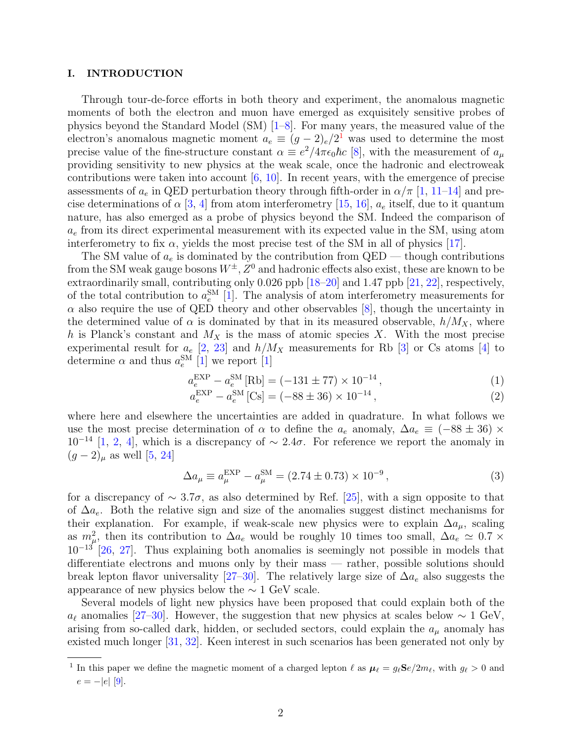#### I. INTRODUCTION

Through tour-de-force efforts in both theory and experiment, the anomalous magnetic moments of both the electron and muon have emerged as exquisitely sensitive probes of physics beyond the Standard Model (SM) [\[1–](#page-19-0)[8\]](#page-19-1). For many years, the measured value of the electron's anomalous magnetic moment  $a_e \equiv (g-2)_e/2^1$  $a_e \equiv (g-2)_e/2^1$  was used to determine the most precise value of the fine-structure constant  $\alpha \equiv e^2/4\pi\epsilon_0\hbar c$  [\[8\]](#page-19-1), with the measurement of  $a_\mu$ providing sensitivity to new physics at the weak scale, once the hadronic and electroweak contributions were taken into account  $[6, 10]$  $[6, 10]$ . In recent years, with the emergence of precise assessments of  $a_e$  in QED perturbation theory through fifth-order in  $\alpha/\pi$  [\[1,](#page-19-0) [11–](#page-20-0)[14\]](#page-20-1) and precise determinations of  $\alpha$  [\[3,](#page-19-4) [4\]](#page-19-5) from atom interferometry [\[15,](#page-20-2) [16\]](#page-20-3),  $a_e$  itself, due to it quantum nature, has also emerged as a probe of physics beyond the SM. Indeed the comparison of  $a_e$  from its direct experimental measurement with its expected value in the SM, using atom interferometry to fix  $\alpha$ , yields the most precise test of the SM in all of physics [\[17\]](#page-20-4).

The SM value of  $a_e$  is dominated by the contribution from QED — though contributions from the SM weak gauge bosons  $W^{\pm}$ ,  $Z^0$  and hadronic effects also exist, these are known to be extraordinarily small, contributing only 0.026 ppb [\[18–](#page-20-5)[20\]](#page-20-6) and 1.47 ppb [\[21,](#page-20-7) [22\]](#page-20-8), respectively, of the total contribution to  $a_e^{\text{SM}}$  [\[1\]](#page-19-0). The analysis of atom interferometry measurements for  $\alpha$  also require the use of QED theory and other observables [\[8\]](#page-19-1), though the uncertainty in the determined value of  $\alpha$  is dominated by that in its measured observable,  $h/M_X$ , where h is Planck's constant and  $M_X$  is the mass of atomic species X. With the most precise experimental result for  $a_e$  [\[2,](#page-19-6) [23\]](#page-20-9) and  $h/M_X$  measurements for Rb [\[3\]](#page-19-4) or Cs atoms [\[4\]](#page-19-5) to determine  $\alpha$  and thus  $a_e^{\text{SM}}$  [\[1\]](#page-19-0) we report [\[1\]](#page-19-0)

$$
a_e^{\text{EXP}} - a_e^{\text{SM}}[\text{Rb}] = (-131 \pm 77) \times 10^{-14},\tag{1}
$$

$$
a_e^{\text{EXP}} - a_e^{\text{SM}}\left[\text{Cs}\right] = (-88 \pm 36) \times 10^{-14},\tag{2}
$$

where here and elsewhere the uncertainties are added in quadrature. In what follows we use the most precise determination of  $\alpha$  to define the  $a_e$  anomaly,  $\Delta a_e \equiv (-88 \pm 36) \times$  $10^{-14}$  [\[1,](#page-19-0) [2,](#page-19-6) [4\]](#page-19-5), which is a discrepancy of  $\sim 2.4\sigma$ . For reference we report the anomaly in  $(g-2)_{\mu}$  as well [\[5,](#page-19-7) [24\]](#page-20-10)

$$
\Delta a_{\mu} \equiv a_{\mu}^{\text{EXP}} - a_{\mu}^{\text{SM}} = (2.74 \pm 0.73) \times 10^{-9},\tag{3}
$$

for a discrepancy of  $\sim 3.7\sigma$ , as also determined by Ref. [\[25\]](#page-20-11), with a sign opposite to that of  $\Delta a_e$ . Both the relative sign and size of the anomalies suggest distinct mechanisms for their explanation. For example, if weak-scale new physics were to explain  $\Delta a_{\mu}$ , scaling as  $m_{\mu}^2$ , then its contribution to  $\Delta a_e$  would be roughly 10 times too small,  $\Delta a_e \simeq 0.7 \times$  $10^{-13}$  [\[26,](#page-20-12) [27\]](#page-20-13). Thus explaining both anomalies is seemingly not possible in models that differentiate electrons and muons only by their mass — rather, possible solutions should break lepton flavor universality [\[27–](#page-20-13)[30\]](#page-21-0). The relatively large size of  $\Delta a_e$  also suggests the appearance of new physics below the  $\sim 1$  GeV scale.

Several models of light new physics have been proposed that could explain both of the  $a_{\ell}$  anomalies [\[27–](#page-20-13)[30\]](#page-21-0). However, the suggestion that new physics at scales below  $\sim 1$  GeV, arising from so-called dark, hidden, or secluded sectors, could explain the  $a_{\mu}$  anomaly has existed much longer [\[31,](#page-21-1) [32\]](#page-21-2). Keen interest in such scenarios has been generated not only by

<span id="page-1-0"></span><sup>&</sup>lt;sup>1</sup> In this paper we define the magnetic moment of a charged lepton  $\ell$  as  $\mu_{\ell} = g_{\ell} \mathbf{S}e/2m_{\ell}$ , with  $g_{\ell} > 0$  and  $e = -|e|$  [\[9\]](#page-19-8).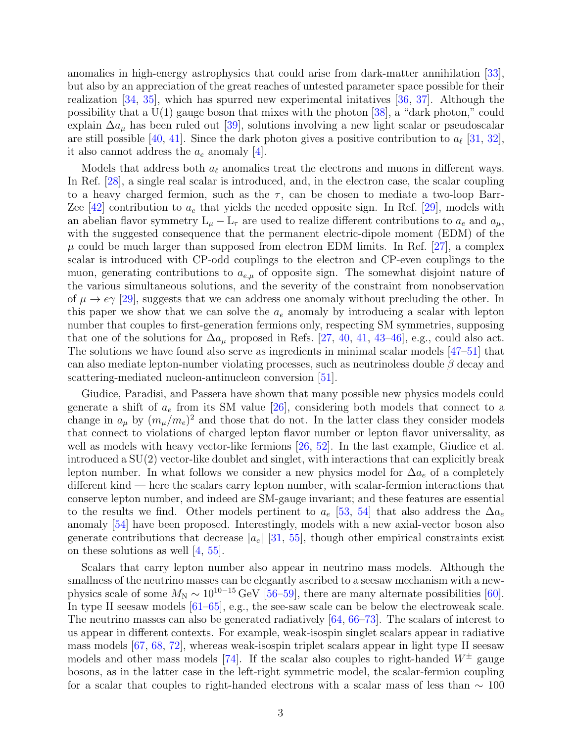anomalies in high-energy astrophysics that could arise from dark-matter annihilation [\[33\]](#page-21-3), but also by an appreciation of the great reaches of untested parameter space possible for their realization [\[34,](#page-21-4) [35\]](#page-21-5), which has spurred new experimental initatives [\[36,](#page-21-6) [37\]](#page-21-7). Although the possibility that a  $U(1)$  gauge boson that mixes with the photon [\[38\]](#page-21-8), a "dark photon," could explain  $\Delta a_{\mu}$  has been ruled out [\[39\]](#page-21-9), solutions involving a new light scalar or pseudoscalar are still possible [\[40,](#page-21-10) [41\]](#page-21-11). Since the dark photon gives a positive contribution to  $a_{\ell}$  [\[31,](#page-21-1) [32\]](#page-21-2), it also cannot address the  $a_e$  anomaly  $|4|$ .

Models that address both  $a_\ell$  anomalies treat the electrons and muons in different ways. In Ref. [\[28\]](#page-20-14), a single real scalar is introduced, and, in the electron case, the scalar coupling to a heavy charged fermion, such as the  $\tau$ , can be chosen to mediate a two-loop Barr-Zee [\[42\]](#page-21-12) contribution to  $a_e$  that yields the needed opposite sign. In Ref. [\[29\]](#page-21-13), models with an abelian flavor symmetry  $L_{\mu} - L_{\tau}$  are used to realize different contributions to  $a_e$  and  $a_{\mu}$ , with the suggested consequence that the permanent electric-dipole moment (EDM) of the  $\mu$  could be much larger than supposed from electron EDM limits. In Ref. [\[27\]](#page-20-13), a complex scalar is introduced with CP-odd couplings to the electron and CP-even couplings to the muon, generating contributions to  $a_{e,\mu}$  of opposite sign. The somewhat disjoint nature of the various simultaneous solutions, and the severity of the constraint from nonobservation of  $\mu \to e\gamma$  [\[29\]](#page-21-13), suggests that we can address one anomaly without precluding the other. In this paper we show that we can solve the  $a_e$  anomaly by introducing a scalar with lepton number that couples to first-generation fermions only, respecting SM symmetries, supposing that one of the solutions for  $\Delta a_{\mu}$  proposed in Refs. [\[27,](#page-20-13) [40,](#page-21-10) [41,](#page-21-11) [43–](#page-21-14)[46\]](#page-21-15), e.g., could also act. The solutions we have found also serve as ingredients in minimal scalar models [\[47](#page-21-16)[–51\]](#page-22-0) that can also mediate lepton-number violating processes, such as neutrinoless double  $\beta$  decay and scattering-mediated nucleon-antinucleon conversion [\[51\]](#page-22-0).

Giudice, Paradisi, and Passera have shown that many possible new physics models could generate a shift of  $a_e$  from its SM value [\[26\]](#page-20-12), considering both models that connect to a change in  $a_{\mu}$  by  $(m_{\mu}/m_e)^2$  and those that do not. In the latter class they consider models that connect to violations of charged lepton flavor number or lepton flavor universality, as well as models with heavy vector-like fermions [\[26,](#page-20-12) [52\]](#page-22-1). In the last example, Giudice et al. introduced a SU(2) vector-like doublet and singlet, with interactions that can explicitly break lepton number. In what follows we consider a new physics model for  $\Delta a_e$  of a completely different kind — here the scalars carry lepton number, with scalar-fermion interactions that conserve lepton number, and indeed are SM-gauge invariant; and these features are essential to the results we find. Other models pertinent to  $a_e$  [\[53,](#page-22-2) [54\]](#page-22-3) that also address the  $\Delta a_e$ anomaly [\[54\]](#page-22-3) have been proposed. Interestingly, models with a new axial-vector boson also generate contributions that decrease  $|a_e|$  [\[31,](#page-21-1) [55\]](#page-22-4), though other empirical constraints exist on these solutions as well [\[4,](#page-19-5) [55\]](#page-22-4).

Scalars that carry lepton number also appear in neutrino mass models. Although the smallness of the neutrino masses can be elegantly ascribed to a seesaw mechanism with a newphysics scale of some  $M_N \sim 10^{10-15}$  GeV [\[56](#page-22-5)[–59\]](#page-22-6), there are many alternate possibilities [\[60\]](#page-22-7). In type II seesaw models [\[61–](#page-22-8)[65\]](#page-22-9), e.g., the see-saw scale can be below the electroweak scale. The neutrino masses can also be generated radiatively [\[64,](#page-22-10) [66](#page-22-11)[–73\]](#page-23-0). The scalars of interest to us appear in different contexts. For example, weak-isospin singlet scalars appear in radiative mass models [\[67,](#page-22-12) [68,](#page-22-13) [72\]](#page-23-1), whereas weak-isospin triplet scalars appear in light type II seesaw models and other mass models [\[74\]](#page-23-2). If the scalar also couples to right-handed  $W^{\pm}$  gauge bosons, as in the latter case in the left-right symmetric model, the scalar-fermion coupling for a scalar that couples to right-handed electrons with a scalar mass of less than  $\sim 100$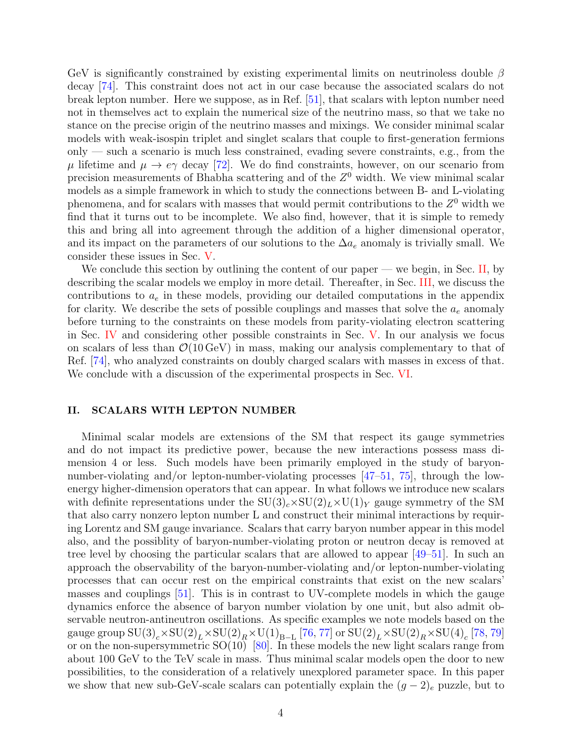GeV is significantly constrained by existing experimental limits on neutrinoless double  $\beta$ decay [\[74\]](#page-23-2). This constraint does not act in our case because the associated scalars do not break lepton number. Here we suppose, as in Ref. [\[51\]](#page-22-0), that scalars with lepton number need not in themselves act to explain the numerical size of the neutrino mass, so that we take no stance on the precise origin of the neutrino masses and mixings. We consider minimal scalar models with weak-isospin triplet and singlet scalars that couple to first-generation fermions only — such a scenario is much less constrained, evading severe constraints, e.g., from the  $\mu$  lifetime and  $\mu \to e\gamma$  decay [\[72\]](#page-23-1). We do find constraints, however, on our scenario from precision measurements of Bhabha scattering and of the  $Z^0$  width. We view minimal scalar models as a simple framework in which to study the connections between B- and L-violating phenomena, and for scalars with masses that would permit contributions to the  $Z^0$  width we find that it turns out to be incomplete. We also find, however, that it is simple to remedy this and bring all into agreement through the addition of a higher dimensional operator, and its impact on the parameters of our solutions to the  $\Delta a_e$  anomaly is trivially small. We consider these issues in Sec. [V.](#page-9-0)

We conclude this section by outlining the content of our paper — we begin, in Sec. [II,](#page-3-0) by describing the scalar models we employ in more detail. Thereafter, in Sec. [III,](#page-4-0) we discuss the contributions to  $a_e$  in these models, providing our detailed computations in the appendix for clarity. We describe the sets of possible couplings and masses that solve the  $a_e$  anomaly before turning to the constraints on these models from parity-violating electron scattering in Sec. [IV](#page-7-0) and considering other possible constraints in Sec. [V.](#page-9-0) In our analysis we focus on scalars of less than  $\mathcal{O}(10 \,\text{GeV})$  in mass, making our analysis complementary to that of Ref. [\[74\]](#page-23-2), who analyzed constraints on doubly charged scalars with masses in excess of that. We conclude with a discussion of the experimental prospects in Sec. [VI.](#page-15-0)

#### <span id="page-3-0"></span>II. SCALARS WITH LEPTON NUMBER

Minimal scalar models are extensions of the SM that respect its gauge symmetries and do not impact its predictive power, because the new interactions possess mass dimension 4 or less. Such models have been primarily employed in the study of baryonnumber-violating and/or lepton-number-violating processes [\[47–](#page-21-16)[51,](#page-22-0) [75\]](#page-23-3), through the lowenergy higher-dimension operators that can appear. In what follows we introduce new scalars with definite representations under the  $SU(3)_c \times SU(2)_L \times U(1)_Y$  gauge symmetry of the SM that also carry nonzero lepton number L and construct their minimal interactions by requiring Lorentz and SM gauge invariance. Scalars that carry baryon number appear in this model also, and the possiblity of baryon-number-violating proton or neutron decay is removed at tree level by choosing the particular scalars that are allowed to appear [\[49–](#page-22-14)[51\]](#page-22-0). In such an approach the observability of the baryon-number-violating and/or lepton-number-violating processes that can occur rest on the empirical constraints that exist on the new scalars' masses and couplings [\[51\]](#page-22-0). This is in contrast to UV-complete models in which the gauge dynamics enforce the absence of baryon number violation by one unit, but also admit observable neutron-antineutron oscillations. As specific examples we note models based on the gauge group  ${\rm SU(3)}_c \times {\rm SU(2)}_L \times {\rm SU(2)}_R \times {\rm U(1)}_{\rm B-L}$  [\[76,](#page-23-4) [77\]](#page-23-5) or  ${\rm SU(2)}_L \times {\rm SU(2)}_R \times {\rm SU(4)}_c$  [\[78,](#page-23-6) [79\]](#page-23-7) or on the non-supersymmetric  $SO(10)$  [\[80\]](#page-23-8). In these models the new light scalars range from about 100 GeV to the TeV scale in mass. Thus minimal scalar models open the door to new possibilities, to the consideration of a relatively unexplored parameter space. In this paper we show that new sub-GeV-scale scalars can potentially explain the  $(g-2)_e$  puzzle, but to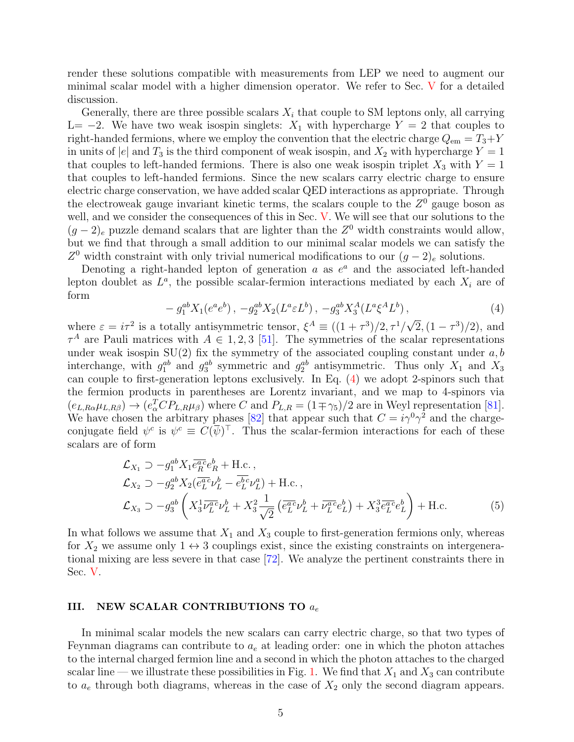render these solutions compatible with measurements from LEP we need to augment our minimal scalar model with a higher dimension operator. We refer to Sec. [V](#page-9-0) for a detailed discussion.

Generally, there are three possible scalars  $X_i$  that couple to SM leptons only, all carrying L=  $-2$ . We have two weak isospin singlets:  $X_1$  with hypercharge  $Y = 2$  that couples to right-handed fermions, where we employ the convention that the electric charge  $Q_{em} = T_3 + Y$ in units of |e| and  $T_3$  is the third component of weak isospin, and  $X_2$  with hypercharge  $Y = 1$ that couples to left-handed fermions. There is also one weak isospin triplet  $X_3$  with  $Y = 1$ that couples to left-handed fermions. Since the new scalars carry electric charge to ensure electric charge conservation, we have added scalar QED interactions as appropriate. Through the electroweak gauge invariant kinetic terms, the scalars couple to the  $Z<sup>0</sup>$  gauge boson as well, and we consider the consequences of this in Sec. [V.](#page-9-0) We will see that our solutions to the  $(g-2)_e$  puzzle demand scalars that are lighter than the  $Z^0$  width constraints would allow, but we find that through a small addition to our minimal scalar models we can satisfy the Z<sup>0</sup> width constraint with only trivial numerical modifications to our  $(g-2)_{e}$  solutions.

Denoting a right-handed lepton of generation  $a$  as  $e^a$  and the associated left-handed lepton doublet as  $L^a$ , the possible scalar-fermion interactions mediated by each  $X_i$  are of form

<span id="page-4-1"></span>
$$
-g_1^{ab}X_1(e^ae^b), -g_2^{ab}X_2(L^a\varepsilon L^b), -g_3^{ab}X_3^A(L^a\xi^A L^b), \tag{4}
$$

where  $\varepsilon = i\tau^2$  is a totally antisymmetric tensor,  $\xi^A \equiv ((1+\tau^3)/2, \tau^1/2)$  $\sqrt{2}$ ,  $(1 - \tau^3)/2$ , and  $\tau^A$  are Pauli matrices with  $A \in 1, 2, 3$  [\[51\]](#page-22-0). The symmetries of the scalar representations under weak isospin  $SU(2)$  fix the symmetry of the associated coupling constant under  $a, b$ interchange, with  $g_1^{ab}$  and  $g_3^{ab}$  symmetric and  $g_2^{ab}$  antisymmetric. Thus only  $X_1$  and  $X_3$ can couple to first-generation leptons exclusively. In Eq. [\(4\)](#page-4-1) we adopt 2-spinors such that the fermion products in parentheses are Lorentz invariant, and we map to 4-spinors via  $(e_{L,R\alpha}\mu_{L,R\beta}) \to (e_{\alpha}^T C P_{L,R}\mu_{\beta})$  where C and  $P_{L,R} = (1 \mp \gamma_5)/2$  are in Weyl representation [\[81\]](#page-23-9). We have chosen the arbitrary phases [\[82\]](#page-23-10) that appear such that  $C = i\gamma^0 \gamma^2$  and the chargeconjugate field  $\psi^c$  is  $\psi^c \equiv C(\bar{\psi})^\top$ . Thus the scalar-fermion interactions for each of these scalars are of form

<span id="page-4-2"></span>
$$
\mathcal{L}_{X_1} \supset -g_1^{ab} X_1 \overline{e_R^{ac}} e_R^b + \text{H.c.}\,,
$$
\n
$$
\mathcal{L}_{X_2} \supset -g_2^{ab} X_2 (\overline{e_L^{ac}} \nu_L^b - \overline{e_L^{bc}} \nu_L^a) + \text{H.c.}\,,
$$
\n
$$
\mathcal{L}_{X_3} \supset -g_3^{ab} \left( X_3^1 \overline{\nu_L^{ac}} \nu_L^b + X_3^2 \frac{1}{\sqrt{2}} \left( \overline{e_L^{ac}} \nu_L^b + \overline{\nu_L^{ac}} e_L^b \right) + X_3^3 \overline{e_L^{ac}} e_L^b \right) + \text{H.c.}
$$
\n(5)

In what follows we assume that  $X_1$  and  $X_3$  couple to first-generation fermions only, whereas for  $X_2$  we assume only  $1 \leftrightarrow 3$  couplings exist, since the existing constraints on intergenerational mixing are less severe in that case [\[72\]](#page-23-1). We analyze the pertinent constraints there in Sec. [V.](#page-9-0)

#### <span id="page-4-0"></span>III. NEW SCALAR CONTRIBUTIONS TO  $a_e$

In minimal scalar models the new scalars can carry electric charge, so that two types of Feynman diagrams can contribute to  $a_e$  at leading order: one in which the photon attaches to the internal charged fermion line and a second in which the photon attaches to the charged scalar line — we illustrate these possibilities in Fig. [1.](#page-5-0) We find that  $X_1$  and  $X_3$  can contribute to  $a_e$  through both diagrams, whereas in the case of  $X_2$  only the second diagram appears.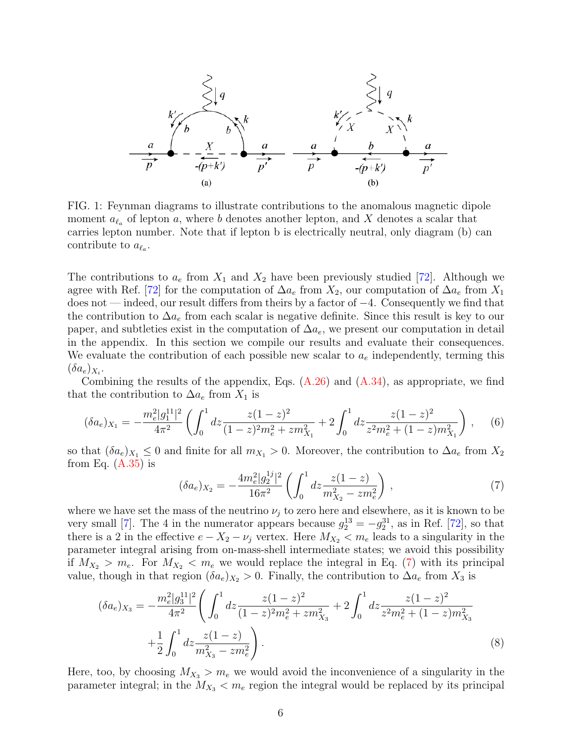<span id="page-5-0"></span>
$$
\frac{1}{\sqrt{\frac{a}{p}}}\n\begin{array}{c}\n\searrow & q \\
\searrow & q \\
\hline\n\frac{a}{p} & -\frac{X}{-(p+k')} & -\frac{a}{p'} & -\frac{a}{p'} & -\frac{a}{(p+k')} & -\frac{b}{(p+k')} & -\frac{a}{p'} \\
\hline\n\end{array}
$$

FIG. 1: Feynman diagrams to illustrate contributions to the anomalous magnetic dipole moment  $a_{\ell_a}$  of lepton a, where b denotes another lepton, and X denotes a scalar that carries lepton number. Note that if lepton b is electrically neutral, only diagram (b) can contribute to  $a_{\ell_a}$ .

The contributions to  $a_e$  from  $X_1$  and  $X_2$  have been previously studied [\[72\]](#page-23-1). Although we agree with Ref. [\[72\]](#page-23-1) for the computation of  $\Delta a_e$  from  $X_2$ , our computation of  $\Delta a_e$  from  $X_1$ does not — indeed, our result differs from theirs by a factor of −4. Consequently we find that the contribution to  $\Delta a_e$  from each scalar is negative definite. Since this result is key to our paper, and subtleties exist in the computation of  $\Delta a_e$ , we present our computation in detail in the appendix. In this section we compile our results and evaluate their consequences. We evaluate the contribution of each possible new scalar to  $a_e$  independently, terming this  $(\delta a_e)_{X_i}.$ 

Combining the results of the appendix, Eqs.  $(A.26)$  and  $(A.34)$ , as appropriate, we find that the contribution to  $\Delta a_e$  from  $X_1$  is

$$
(\delta a_e)_{X_1} = -\frac{m_e^2 |g_1^{11}|^2}{4\pi^2} \left( \int_0^1 dz \frac{z(1-z)^2}{(1-z)^2 m_e^2 + z m_{X_1}^2} + 2 \int_0^1 dz \frac{z(1-z)^2}{z^2 m_e^2 + (1-z) m_{X_1}^2} \right) ,\tag{6}
$$

so that  $(\delta a_e)_{X_1} \leq 0$  and finite for all  $m_{X_1} > 0$ . Moreover, the contribution to  $\Delta a_e$  from  $X_2$ from Eq.  $(A.35)$  is

<span id="page-5-1"></span>
$$
(\delta a_e)_{X_2} = -\frac{4m_e^2|g_2^{1j}|^2}{16\pi^2} \left( \int_0^1 dz \frac{z(1-z)}{m_{X_2}^2 - zm_e^2} \right) ,\tag{7}
$$

where we have set the mass of the neutrino  $\nu_i$  to zero here and elsewhere, as it is known to be very small [\[7\]](#page-19-11). The 4 in the numerator appears because  $g_2^{13} = -g_2^{31}$ , as in Ref. [\[72\]](#page-23-1), so that there is a 2 in the effective  $e - X_2 - \nu_j$  vertex. Here  $M_{X_2} < m_e$  leads to a singularity in the parameter integral arising from on-mass-shell intermediate states; we avoid this possibility if  $M_{X_2} > m_e$ . For  $M_{X_2} < m_e$  we would replace the integral in Eq. [\(7\)](#page-5-1) with its principal value, though in that region  $(\delta a_e)_{X_2} > 0$ . Finally, the contribution to  $\Delta a_e$  from  $X_3$  is

$$
(\delta a_e)_{X_3} = -\frac{m_e^2 |g_3^{11}|^2}{4\pi^2} \left( \int_0^1 dz \frac{z(1-z)^2}{(1-z)^2 m_e^2 + z m_{X_3}^2} + 2 \int_0^1 dz \frac{z(1-z)^2}{z^2 m_e^2 + (1-z) m_{X_3}^2} + \frac{1}{2} \int_0^1 dz \frac{z(1-z)}{m_{X_3}^2 - z m_e^2} \right).
$$
\n(8)

Here, too, by choosing  $M_{X_3} > m_e$  we would avoid the inconvenience of a singularity in the parameter integral; in the  $M_{X_3} < m_e$  region the integral would be replaced by its principal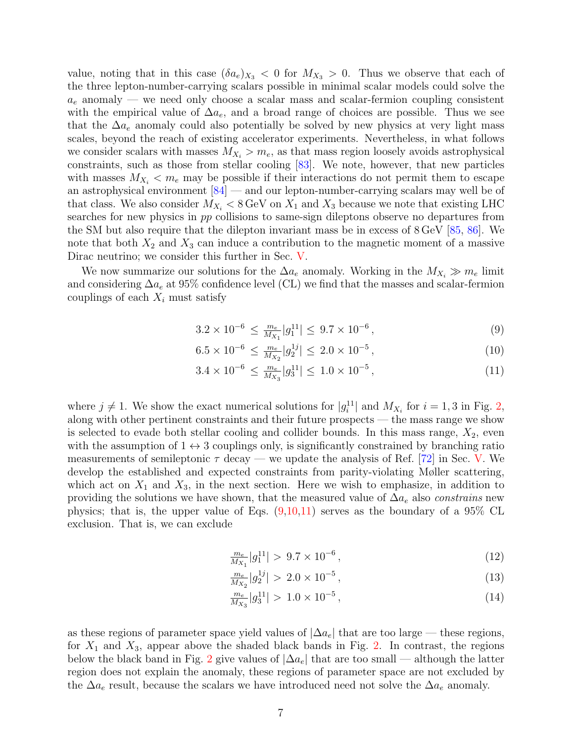value, noting that in this case  $(\delta a_e)_{X_3} < 0$  for  $M_{X_3} > 0$ . Thus we observe that each of the three lepton-number-carrying scalars possible in minimal scalar models could solve the  $a_e$  anomaly — we need only choose a scalar mass and scalar-fermion coupling consistent with the empirical value of  $\Delta a_e$ , and a broad range of choices are possible. Thus we see that the  $\Delta a_e$  anomaly could also potentially be solved by new physics at very light mass scales, beyond the reach of existing accelerator experiments. Nevertheless, in what follows we consider scalars with masses  $M_{X_i} > m_e$ , as that mass region loosely avoids astrophysical constraints, such as those from stellar cooling [\[83\]](#page-23-11). We note, however, that new particles with masses  $M_{X_i} < m_e$  may be possible if their interactions do not permit them to escape an astrophysical environment  $[84]$  — and our lepton-number-carrying scalars may well be of that class. We also consider  $M_{X_i} < 8 \,\text{GeV}$  on  $X_1$  and  $X_3$  because we note that existing LHC searches for new physics in pp collisions to same-sign dileptons observe no departures from the SM but also require that the dilepton invariant mass be in excess of 8 GeV [\[85,](#page-23-13) [86\]](#page-23-14). We note that both  $X_2$  and  $X_3$  can induce a contribution to the magnetic moment of a massive Dirac neutrino; we consider this further in Sec. [V.](#page-9-0)

We now summarize our solutions for the  $\Delta a_e$  anomaly. Working in the  $M_{X_i} \gg m_e$  limit and considering  $\Delta a_e$  at 95% confidence level (CL) we find that the masses and scalar-fermion couplings of each  $X_i$  must satisfy

<span id="page-6-0"></span>
$$
3.2 \times 10^{-6} \le \frac{m_e}{M_{X_1}} |g_1^{11}| \le 9.7 \times 10^{-6},\tag{9}
$$

$$
6.5 \times 10^{-6} \le \frac{m_e}{M_{X_2}} |g_2^{1j}| \le 2.0 \times 10^{-5},\tag{10}
$$

$$
3.4 \times 10^{-6} \le \frac{m_e}{M_{X_3}} |g_3^{11}| \le 1.0 \times 10^{-5},\tag{11}
$$

where  $j \neq 1$ . We show the exact numerical solutions for  $|g_i^{11}|$  and  $M_{X_i}$  for  $i = 1, 3$  in Fig. [2,](#page-7-1) along with other pertinent constraints and their future prospects — the mass range we show is selected to evade both stellar cooling and collider bounds. In this mass range,  $X_2$ , even with the assumption of  $1 \leftrightarrow 3$  couplings only, is significantly constrained by branching ratio measurements of semileptonic  $\tau$  decay — we update the analysis of Ref. [\[72\]](#page-23-1) in Sec. [V.](#page-9-0) We develop the established and expected constraints from parity-violating Møller scattering, which act on  $X_1$  and  $X_3$ , in the next section. Here we wish to emphasize, in addition to providing the solutions we have shown, that the measured value of  $\Delta a_e$  also *constrains* new physics; that is, the upper value of Eqs.  $(9,10,11)$  serves as the boundary of a 95% CL exclusion. That is, we can exclude

$$
\frac{m_e}{M_{X_1}}|g_1^{11}| > 9.7 \times 10^{-6},\tag{12}
$$

$$
\frac{m_e}{M_{X_2}}|g_2^{1j}| > 2.0 \times 10^{-5},\tag{13}
$$

$$
\frac{m_e}{M_{X_3}}|g_3^{11}| > 1.0 \times 10^{-5},\tag{14}
$$

as these regions of parameter space yield values of  $|\Delta a_e|$  that are too large — these regions, for  $X_1$  and  $X_3$ , appear above the shaded black bands in Fig. [2.](#page-7-1) In contrast, the regions below the black band in Fig. [2](#page-7-1) give values of  $|\Delta a_e|$  that are too small — although the latter region does not explain the anomaly, these regions of parameter space are not excluded by the  $\Delta a_e$  result, because the scalars we have introduced need not solve the  $\Delta a_e$  anomaly.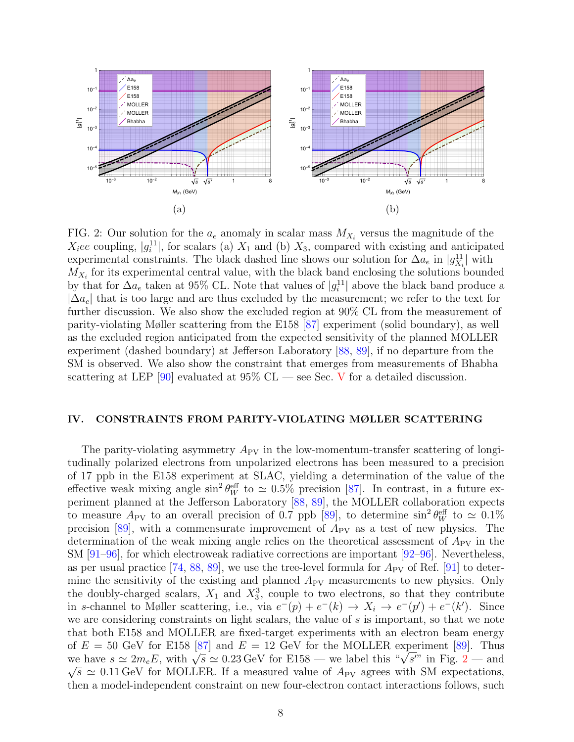<span id="page-7-1"></span>

FIG. 2: Our solution for the  $a_e$  anomaly in scalar mass  $M_{X_i}$  versus the magnitude of the  $X_i$ ee coupling,  $|g_i^{11}|$ , for scalars (a)  $X_1$  and (b)  $X_3$ , compared with existing and anticipated experimental constraints. The black dashed line shows our solution for  $\Delta a_e$  in  $|g_{X_i}^{11}|$  with  $M_{X_i}$  for its experimental central value, with the black band enclosing the solutions bounded by that for  $\Delta a_e$  taken at 95% CL. Note that values of  $|g_i^{11}|$  above the black band produce a  $|\Delta a_e|$  that is too large and are thus excluded by the measurement; we refer to the text for further discussion. We also show the excluded region at 90% CL from the measurement of parity-violating Møller scattering from the E158 [\[87\]](#page-23-15) experiment (solid boundary), as well as the excluded region anticipated from the expected sensitivity of the planned MOLLER experiment (dashed boundary) at Jefferson Laboratory [\[88,](#page-23-16) [89\]](#page-23-17), if no departure from the SM is observed. We also show the constraint that emerges from measurements of Bhabha scattering at LEP [\[90\]](#page-24-0) evaluated at  $95\%$  CL — see Sec. [V](#page-9-0) for a detailed discussion.

#### <span id="page-7-0"></span>IV. CONSTRAINTS FROM PARITY-VIOLATING MØLLER SCATTERING

The parity-violating asymmetry  $A_{PV}$  in the low-momentum-transfer scattering of longitudinally polarized electrons from unpolarized electrons has been measured to a precision of 17 ppb in the E158 experiment at SLAC, yielding a determination of the value of the effective weak mixing angle  $\sin^2 \theta_W^{\text{eff}}$  to  $\simeq 0.5\%$  precision [\[87\]](#page-23-15). In contrast, in a future experiment planned at the Jefferson Laboratory [\[88,](#page-23-16) [89\]](#page-23-17), the MOLLER collaboration expects to measure  $A_{PV}$  to an overall precision of 0.7 ppb [\[89\]](#page-23-17), to determine  $\sin^2\theta_W^{\text{eff}}$  to  $\simeq 0.1\%$ precision  $[89]$ , with a commensurate improvement of  $A_{PV}$  as a test of new physics. The determination of the weak mixing angle relies on the theoretical assessment of  $A_{\rm PV}$  in the SM [\[91](#page-24-1)[–96\]](#page-24-2), for which electroweak radiative corrections are important [\[92](#page-24-3)[–96\]](#page-24-2). Nevertheless, as per usual practice  $[74, 88, 89]$  $[74, 88, 89]$  $[74, 88, 89]$  $[74, 88, 89]$ , we use the tree-level formula for  $A_{PV}$  of Ref.  $[91]$  to determine the sensitivity of the existing and planned  $A_{\rm PV}$  measurements to new physics. Only the doubly-charged scalars,  $X_1$  and  $X_3^3$ , couple to two electrons, so that they contribute in s-channel to Møller scattering, i.e., via  $e^-(p) + e^-(k) \rightarrow X_i \rightarrow e^-(p') + e^-(k')$ . Since we are considering constraints on light scalars, the value of s is important, so that we note that both E158 and MOLLER are fixed-target experiments with an electron beam energy of  $E = 50$  GeV for E158 [\[87\]](#page-23-15) and  $E = 12$  GeV for the MOLLER experiment [\[89\]](#page-23-17). Thus of  $E = 50$  GeV for E158 [87] and  $E = 12$  $E = 12$  GeV for the MOLLER experiment [89]. Thus<br>we have  $s \simeq 2m_e E$ , with  $\sqrt{s} \simeq 0.23$  GeV for E158 — we label this " $\sqrt{s}$ " in Fig. 2 — and  $\sqrt{s} \simeq 0.11 \,\text{GeV}$  for MOLLER. If a measured value of  $A_{\text{PV}}$  agrees with SM expectations, then a model-independent constraint on new four-electron contact interactions follows, such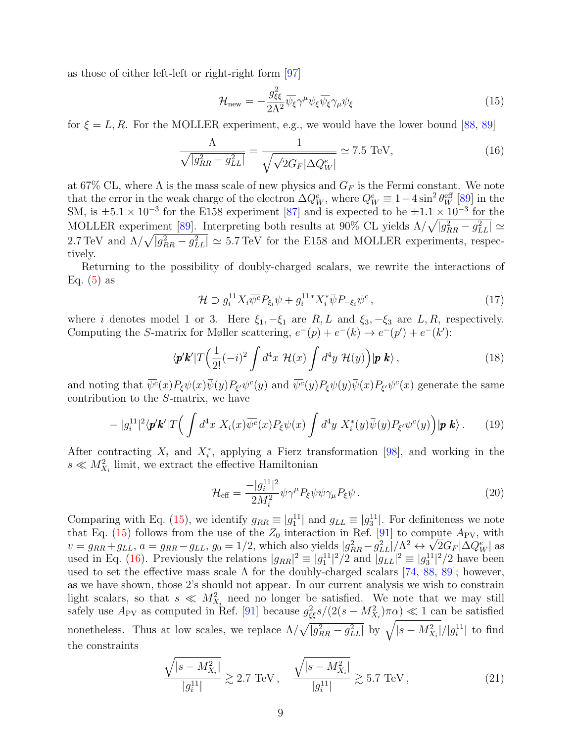as those of either left-left or right-right form [\[97\]](#page-24-4)

<span id="page-8-0"></span>
$$
\mathcal{H}_{\text{new}} = -\frac{g_{\xi\xi}^2}{2\Lambda^2} \overline{\psi_{\xi}} \gamma^{\mu} \psi_{\xi} \overline{\psi_{\xi}} \gamma_{\mu} \psi_{\xi}
$$
(15)

for  $\xi = L, R$ . For the MOLLER experiment, e.g., we would have the lower bound [\[88,](#page-23-16) [89\]](#page-23-17)

<span id="page-8-1"></span>
$$
\frac{\Lambda}{\sqrt{|g_{RR}^2 - g_{LL}^2|}} = \frac{1}{\sqrt{\sqrt{2}G_F|\Delta Q_W^e|}} \simeq 7.5 \text{ TeV},\tag{16}
$$

at 67% CL, where  $\Lambda$  is the mass scale of new physics and  $G_F$  is the Fermi constant. We note that the error in the weak charge of the electron  $\Delta Q_W^e$ , where  $Q_W^e \equiv 1-4\sin^2\theta_W^{\rm eff}$  [\[89\]](#page-23-17) in the SM, is  $\pm 5.1 \times 10^{-3}$  for the E158 experiment [\[87\]](#page-23-15) and is expected to be  $\pm 1.1 \times 10^{-3}$  for the MOLLER experiment [\[89\]](#page-23-17). Interpreting both results at 90% CL yields  $\Lambda/\sqrt{|g_{RR}^2 - g_{LL}^2|} \simeq$ 2.7 TeV and  $\Lambda/\sqrt{|g_{RR}^2 - g_{LL}^2|} \simeq 5.7$  TeV for the E158 and MOLLER experiments, respectively.

Returning to the possibility of doubly-charged scalars, we rewrite the interactions of Eq.  $(5)$  as

$$
\mathcal{H} \supset g_i^{11} X_i \overline{\psi^c} P_{\xi_i} \psi + g_i^{11} X_i^* \overline{\psi} P_{-\xi_i} \psi^c , \qquad (17)
$$

where i denotes model 1 or 3. Here  $\xi_1, -\xi_1$  are  $R, L$  and  $\xi_3, -\xi_3$  are  $L, R$ , respectively. Computing the S-matrix for Møller scattering,  $e^-(p) + e^-(k) \rightarrow e^-(p') + e^-(k')$ :

$$
\langle \mathbf{p}'\mathbf{k}'|T\left(\frac{1}{2!}(-i)^2\int d^4x \mathcal{H}(x)\int d^4y \mathcal{H}(y)\right)|\mathbf{p}\mathbf{k}\rangle ,\qquad (18)
$$

and noting that  $\overline{\psi^c}(x)P_{\xi}\psi(x)\overline{\psi}(y)P_{\xi'}\psi^c(y)$  and  $\overline{\psi^c}(y)P_{\xi}\psi(y)\overline{\psi}(x)P_{\xi'}\psi^c(x)$  generate the same contribution to the S-matrix, we have

$$
- |g_i^{11}|^2 \langle \mathbf{p}' \mathbf{k}' | T \Big( \int d^4x \ X_i(x) \overline{\psi^c}(x) P_{\xi} \psi(x) \int d^4y \ X_i^*(y) \overline{\psi}(y) P_{\xi'} \psi^c(y) \Big) |\mathbf{p} \ \mathbf{k} \rangle \,. \tag{19}
$$

After contracting  $X_i$  and  $X_i^*$ , applying a Fierz transformation [\[98\]](#page-24-5), and working in the  $s \ll M_{X_i}^2$  limit, we extract the effective Hamiltonian

<span id="page-8-3"></span>
$$
\mathcal{H}_{\text{eff}} = \frac{-|g_i^{11}|^2}{2M_i^2} \bar{\psi} \gamma^\mu P_\xi \psi \bar{\psi} \gamma_\mu P_\xi \psi \,. \tag{20}
$$

Comparing with Eq. [\(15\)](#page-8-0), we identify  $g_{RR} \equiv |g_1^{11}|$  and  $g_{LL} \equiv |g_3^{11}|$ . For definiteness we note that Eq. [\(15\)](#page-8-0) follows from the use of the  $Z_0$  interaction in Ref. [\[91\]](#page-24-1) to compute  $A_{\rm PV}$ , with  $v = g_{RR} + g_{LL}, a = g_{RR} - g_{LL}, g_0 = 1/2$ , which also yields  $|g_{RR}^2 - g_{LL}^2|/\Lambda^2 \leftrightarrow \sqrt{2}G_F|\Delta Q_W^e|$  as used in Eq. [\(16\)](#page-8-1). Previously the relations  $|g_{RR}|^2 \equiv |g_1^{11}|^2/2$  and  $|g_{LL}|^2 \equiv |g_3^{11}|^2/2$  have been used to set the effective mass scale  $\Lambda$  for the doubly-charged scalars [\[74,](#page-23-2) [88,](#page-23-16) [89\]](#page-23-17); however, as we have shown, those 2's should not appear. In our current analysis we wish to constrain light scalars, so that  $s \ll M_{X_i}^2$  need no longer be satisfied. We note that we may still safely use  $A_{\rm PV}$  as computed in Ref. [\[91\]](#page-24-1) because  $g_{\xi\xi}^2 s/(2(s-M_{X_i}^2)\pi\alpha) \ll 1$  can be satisfied nonetheless. Thus at low scales, we replace  $\Lambda/\sqrt{|g_{RR}^2 - g_{LL}^2|}$  by  $\sqrt{|s - M_{X_i}^2|}/|g_i^{11}|$  to find the constraints

<span id="page-8-2"></span>
$$
\frac{\sqrt{|s - M_{X_i}^2|}}{|g_i^{11}|} \gtrsim 2.7 \text{ TeV}, \quad \frac{\sqrt{|s - M_{X_i}^2|}}{|g_i^{11}|} \gtrsim 5.7 \text{ TeV}, \tag{21}
$$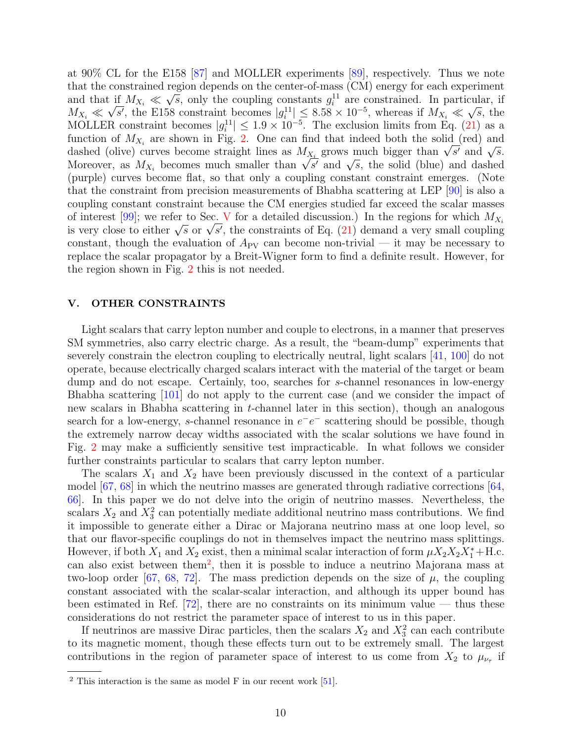at 90% CL for the E158 [\[87\]](#page-23-15) and MOLLER experiments [\[89\]](#page-23-17), respectively. Thus we note that the constrained region depends on the center-of-mass (CM) energy for each experiment and that if  $M_{X_i} \ll \sqrt{s}$ , only the coupling constants  $g_i^{11}$  are constrained. In particular, if  $M_{X_i} \ll \sqrt{s'}$ , the E158 constraint becomes  $|g_i^{11}| \leq 8.58 \times 10^{-5}$ , whereas if  $M_{X_i} \ll$ √  $\overline{s}$ , the MOLLER constraint becomes  $|g_i^{11}| \leq 1.9 \times 10^{-5}$ . The exclusion limits from Eq. [\(21\)](#page-8-2) as a function of  $M_{X_i}$  are shown in Fig. [2.](#page-7-1) One can find that indeed both the solid (red) and function of  $M_{X_i}$  are shown in Fig. 2. One can find that indeed both the solid (red) and dashed (olive) curves become straight lines as  $M_{X_i}$  grows much bigger than  $\sqrt{s'}$  and  $\sqrt{s}$ . dashed (olive) curves become straight lines as  $M_{X_i}$  grows much bigger than  $\sqrt{s'}$  and  $\sqrt{s}$ .<br>Moreover, as  $M_{X_i}$  becomes much smaller than  $\sqrt{s'}$  and  $\sqrt{s}$ , the solid (blue) and dashed (purple) curves become flat, so that only a coupling constant constraint emerges. (Note that the constraint from precision measurements of Bhabha scattering at LEP [\[90\]](#page-24-0) is also a coupling constant constraint because the CM energies studied far exceed the scalar masses of interest [\[99\]](#page-24-6); we refer to Sec. [V](#page-9-0) for a detailed discussion.) In the regions for which  $M_{X_i}$ of interest [99]; we refer to Sec. V for a detailed discussion.) In the regions for which  $M_{X_i}$  is very close to either  $\sqrt{s}$  or  $\sqrt{s'}$ , the constraints of Eq. [\(21\)](#page-8-2) demand a very small coupling constant, though the evaluation of  $A_{PV}$  can become non-trivial — it may be necessary to replace the scalar propagator by a Breit-Wigner form to find a definite result. However, for the region shown in Fig. [2](#page-7-1) this is not needed.

### <span id="page-9-0"></span>V. OTHER CONSTRAINTS

Light scalars that carry lepton number and couple to electrons, in a manner that preserves SM symmetries, also carry electric charge. As a result, the "beam-dump" experiments that severely constrain the electron coupling to electrically neutral, light scalars [\[41,](#page-21-11) [100\]](#page-24-7) do not operate, because electrically charged scalars interact with the material of the target or beam dump and do not escape. Certainly, too, searches for s-channel resonances in low-energy Bhabha scattering [\[101\]](#page-24-8) do not apply to the current case (and we consider the impact of new scalars in Bhabha scattering in t-channel later in this section), though an analogous search for a low-energy, s-channel resonance in  $e^-e^-$  scattering should be possible, though the extremely narrow decay widths associated with the scalar solutions we have found in Fig. [2](#page-7-1) may make a sufficiently sensitive test impracticable. In what follows we consider further constraints particular to scalars that carry lepton number.

The scalars  $X_1$  and  $X_2$  have been previously discussed in the context of a particular model  $[67, 68]$  $[67, 68]$  in which the neutrino masses are generated through radiative corrections  $[64, 64]$ [66\]](#page-22-11). In this paper we do not delve into the origin of neutrino masses. Nevertheless, the scalars  $X_2$  and  $X_3^2$  can potentially mediate additional neutrino mass contributions. We find it impossible to generate either a Dirac or Majorana neutrino mass at one loop level, so that our flavor-specific couplings do not in themselves impact the neutrino mass splittings. However, if both  $X_1$  and  $X_2$  exist, then a minimal scalar interaction of form  $\mu X_2 X_2 X_1^* + \text{H.c.}$ can also exist between them<sup>[2](#page-9-1)</sup>, then it is possble to induce a neutrino Majorana mass at two-loop order [\[67,](#page-22-12) [68,](#page-22-13) [72\]](#page-23-1). The mass prediction depends on the size of  $\mu$ , the coupling constant associated with the scalar-scalar interaction, and although its upper bound has been estimated in Ref.  $[72]$ , there are no constraints on its minimum value — thus these considerations do not restrict the parameter space of interest to us in this paper.

If neutrinos are massive Dirac particles, then the scalars  $X_2$  and  $X_3^2$  can each contribute to its magnetic moment, though these effects turn out to be extremely small. The largest contributions in the region of parameter space of interest to us come from  $X_2$  to  $\mu_{\nu_{\tau}}$  if

<span id="page-9-1"></span> $2$  This interaction is the same as model F in our recent work [\[51\]](#page-22-0).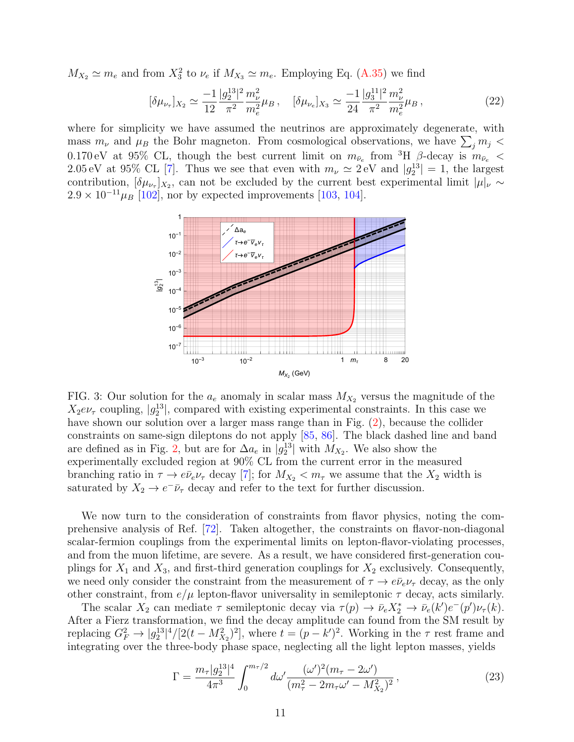$M_{X_2} \simeq m_e$  and from  $X_3^2$  to  $\nu_e$  if  $M_{X_3} \simeq m_e$ . Employing Eq. [\(A.35\)](#page-19-10) we find

$$
[\delta \mu_{\nu_{\tau}}]_{X_2} \simeq \frac{-1}{12} \frac{|g_2^{13}|^2}{\pi^2} \frac{m_{\nu}^2}{m_e^2} \mu_B \,, \quad [\delta \mu_{\nu_e}]_{X_3} \simeq \frac{-1}{24} \frac{|g_3^{11}|^2}{\pi^2} \frac{m_{\nu}^2}{m_e^2} \mu_B \,, \tag{22}
$$

where for simplicity we have assumed the neutrinos are approximately degenerate, with mass  $m_{\nu}$  and  $\mu_B$  the Bohr magneton. From cosmological observations, we have  $\sum_j m_j$  < 0.170 eV at 95% CL, though the best current limit on  $m_{\bar{\nu}_e}$  from <sup>3</sup>H  $\beta$ -decay is  $m_{\bar{\nu}_e}$  < 2.05 eV at 95% CL [\[7\]](#page-19-11). Thus we see that even with  $m_{\nu} \simeq 2 \,\text{eV}$  and  $|g_2^{13}| = 1$ , the largest contribution,  $[\delta \mu_{\nu_{\tau}}]_{X_2}$ , can not be excluded by the current best experimental limit  $|\mu|_{\nu} \sim$  $2.9 \times 10^{-11} \mu_B$  [\[102\]](#page-24-9), nor by expected improvements [\[103,](#page-24-10) [104\]](#page-24-11).

<span id="page-10-1"></span>

FIG. 3: Our solution for the  $a_e$  anomaly in scalar mass  $M_{X_2}$  versus the magnitude of the  $X_2e\nu_\tau$  coupling,  $|g_2^{13}|$ , compared with existing experimental constraints. In this case we have shown our solution over a larger mass range than in Fig.  $(2)$ , because the collider constraints on same-sign dileptons do not apply [\[85,](#page-23-13) [86\]](#page-23-14). The black dashed line and band are defined as in Fig. [2,](#page-7-1) but are for  $\Delta a_e$  in  $|g_2^{13}|$  with  $M_{X_2}$ . We also show the experimentally excluded region at 90% CL from the current error in the measured branching ratio in  $\tau \to e\bar{\nu}_e \nu_\tau$  decay [\[7\]](#page-19-11); for  $M_{X_2} < m_\tau$  we assume that the  $X_2$  width is saturated by  $X_2 \to e^- \bar{\nu}_{\tau}$  decay and refer to the text for further discussion.

We now turn to the consideration of constraints from flavor physics, noting the comprehensive analysis of Ref. [\[72\]](#page-23-1). Taken altogether, the constraints on flavor-non-diagonal scalar-fermion couplings from the experimental limits on lepton-flavor-violating processes, and from the muon lifetime, are severe. As a result, we have considered first-generation couplings for  $X_1$  and  $X_3$ , and first-third generation couplings for  $X_2$  exclusively. Consequently, we need only consider the constraint from the measurement of  $\tau \to e\bar{\nu}_e \nu_\tau$  decay, as the only other constraint, from  $e/\mu$  lepton-flavor universality in semileptonic  $\tau$  decay, acts similarly.

The scalar  $X_2$  can mediate  $\tau$  semileptonic decay via  $\tau(p) \to \bar{\nu}_e X_2^* \to \bar{\nu}_e (k') e^-(p') \nu_\tau (k)$ . After a Fierz transformation, we find the decay amplitude can found from the SM result by replacing  $G_F^2 \to |g_2^{13}|^4/[2(t-M_{X_2}^2)^2]$ , where  $t=(p-k')^2$ . Working in the  $\tau$  rest frame and integrating over the three-body phase space, neglecting all the light lepton masses, yields

<span id="page-10-0"></span>
$$
\Gamma = \frac{m_{\tau} |g_2^{13}|^4}{4\pi^3} \int_0^{m_{\tau}/2} d\omega' \frac{(\omega')^2 (m_{\tau} - 2\omega')}{(m_{\tau}^2 - 2m_{\tau}\omega' - M_{X_2}^2)^2},
$$
\n(23)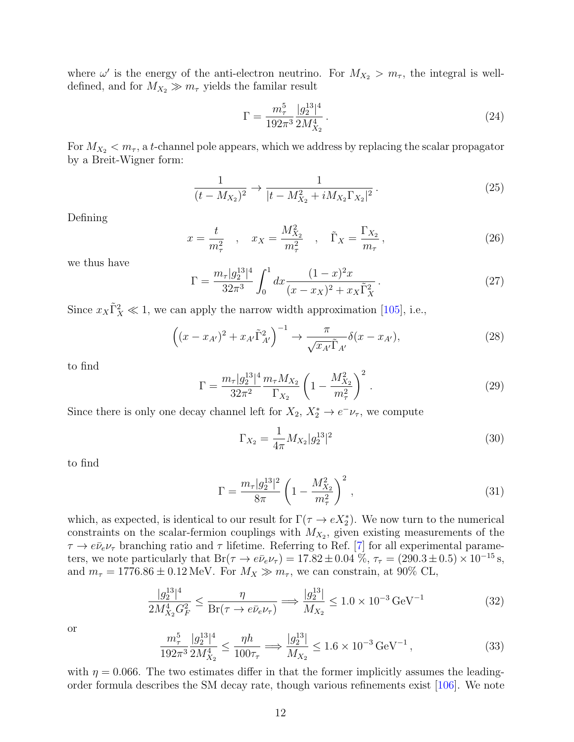where  $\omega'$  is the energy of the anti-electron neutrino. For  $M_{X_2} > m_{\tau}$ , the integral is welldefined, and for  $M_{X_2} \gg m_\tau$  yields the familar result

$$
\Gamma = \frac{m_{\tau}^5}{192\pi^3} \frac{|g_2^{13}|^4}{2M_{X_2}^4} \,. \tag{24}
$$

For  $M_{X_2} < m_{\tau}$ , a t-channel pole appears, which we address by replacing the scalar propagator by a Breit-Wigner form:

$$
\frac{1}{(t - M_{X_2})^2} \to \frac{1}{|t - M_{X_2}^2 + iM_{X_2}\Gamma_{X_2}|^2} \,. \tag{25}
$$

Defining

$$
x = \frac{t}{m_{\tau}^2} \quad , \quad x_X = \frac{M_{X_2}^2}{m_{\tau}^2} \quad , \quad \tilde{\Gamma}_X = \frac{\Gamma_{X_2}}{m_{\tau}}, \tag{26}
$$

we thus have

$$
\Gamma = \frac{m_{\tau} |g_2^{13}|^4}{32\pi^3} \int_0^1 dx \frac{(1-x)^2 x}{(x-x_X)^2 + x_X \tilde{\Gamma}_X^2}.
$$
\n(27)

Since  $x_X \tilde{\Gamma}_X^2 \ll 1$ , we can apply the narrow width approximation [\[105\]](#page-24-12), i.e.,

$$
\left((x-x_{A'})^2 + x_{A'}\tilde{\Gamma}_{A'}^2\right)^{-1} \to \frac{\pi}{\sqrt{x_{A'}}\tilde{\Gamma}_{A'}}\delta(x-x_{A'}),\tag{28}
$$

to find

$$
\Gamma = \frac{m_{\tau} |g_2^{13}|^4}{32\pi^2} \frac{m_{\tau} M_{X_2}}{\Gamma_{X_2}} \left(1 - \frac{M_{X_2}^2}{m_{\tau}^2}\right)^2.
$$
\n(29)

Since there is only one decay channel left for  $X_2, X_2^* \to e^- \nu_\tau$ , we compute

$$
\Gamma_{X_2} = \frac{1}{4\pi} M_{X_2} |g_2^{13}|^2 \tag{30}
$$

to find

<span id="page-11-1"></span>
$$
\Gamma = \frac{m_{\tau} |g_2^{13}|^2}{8\pi} \left(1 - \frac{M_{X_2}^2}{m_{\tau}^2}\right)^2, \qquad (31)
$$

which, as expected, is identical to our result for  $\Gamma(\tau \to e X_2^*)$ . We now turn to the numerical constraints on the scalar-fermion couplings with  $M_{X_2}$ , given existing measurements of the  $\tau \to e\bar{\nu}_e \nu_\tau$  branching ratio and  $\tau$  lifetime. Referring to Ref. [\[7\]](#page-19-11) for all experimental parameters, we note particularly that  $Br(\tau \to e\bar{\nu}_e \nu_\tau) = 17.82 \pm 0.04$  %,  $\tau_\tau = (290.3 \pm 0.5) \times 10^{-15}$  s, and  $m_{\tau} = 1776.86 \pm 0.12 \,\text{MeV}$ . For  $M_X \gg m_{\tau}$ , we can constrain, at 90% CL,

$$
\frac{|g_2^{13}|^4}{2M_{X_2}^4 G_F^2} \le \frac{\eta}{\text{Br}(\tau \to e\bar{\nu}_e \nu_\tau)} \Longrightarrow \frac{|g_2^{13}|}{M_{X_2}} \le 1.0 \times 10^{-3} \,\text{GeV}^{-1} \tag{32}
$$

or

<span id="page-11-0"></span>
$$
\frac{m_{\tau}^{5}}{192\pi^{3}} \frac{|g_{2}^{13}|^{4}}{2M_{X_{2}}^{4}} \le \frac{\eta h}{100\tau_{\tau}} \Longrightarrow \frac{|g_{2}^{13}|}{M_{X_{2}}} \le 1.6 \times 10^{-3} \,\text{GeV}^{-1} \,,\tag{33}
$$

with  $\eta = 0.066$ . The two estimates differ in that the former implicitly assumes the leadingorder formula describes the SM decay rate, though various refinements exist [\[106\]](#page-24-13). We note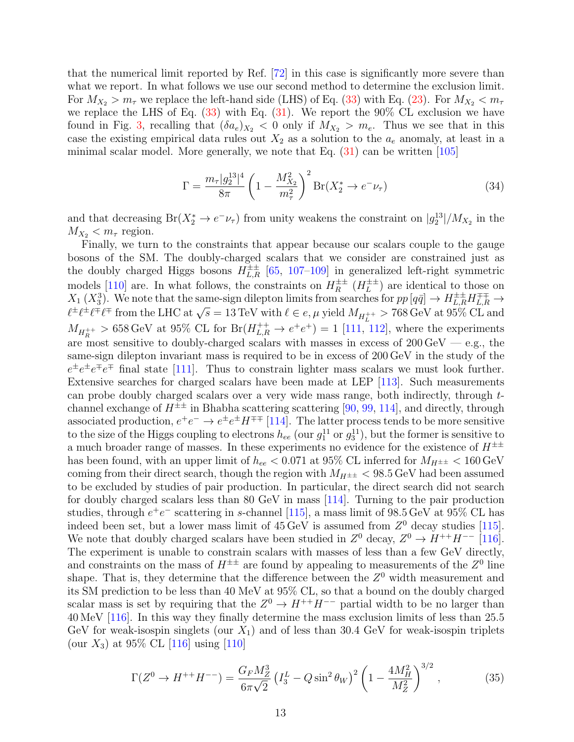that the numerical limit reported by Ref. [\[72\]](#page-23-1) in this case is significantly more severe than what we report. In what follows we use our second method to determine the exclusion limit. For  $M_{X_2} > m_\tau$  we replace the left-hand side (LHS) of Eq. [\(33\)](#page-11-0) with Eq. [\(23\)](#page-10-0). For  $M_{X_2} < m_\tau$ we replace the LHS of Eq.  $(33)$  with Eq.  $(31)$ . We report the 90% CL exclusion we have found in Fig. [3,](#page-10-1) recalling that  $(\delta a_e)_{X_2} < 0$  only if  $M_{X_2} > m_e$ . Thus we see that in this case the existing empirical data rules out  $X_2$  as a solution to the  $a_e$  anomaly, at least in a minimal scalar model. More generally, we note that Eq.  $(31)$  can be written [\[105\]](#page-24-12)

$$
\Gamma = \frac{m_{\tau} |g_2^{13}|^4}{8\pi} \left(1 - \frac{M_{X_2}^2}{m_{\tau}^2}\right)^2 \text{Br}(X_2^* \to e^- \nu_{\tau})
$$
(34)

and that decreasing  $Br(X_2^* \to e^- \nu_\tau)$  from unity weakens the constraint on  $|g_2^{13}|/M_{X_2}$  in the  $M_{X_2} < m_\tau$  region.

Finally, we turn to the constraints that appear because our scalars couple to the gauge bosons of the SM. The doubly-charged scalars that we consider are constrained just as the doubly charged Higgs bosons  $H_{L,R}^{\pm\pm}$  [\[65,](#page-22-9) [107–](#page-24-14)[109\]](#page-25-0) in generalized left-right symmetric models [\[110\]](#page-25-1) are. In what follows, the constraints on  $H_R^{\pm\pm}$  $R^{\pm\pm}$   $(H_L^{\pm\pm}$  $L^{\pm\pm}$ ) are identical to those on  $X_1(X_3)$ . We note that the same-sign dilepton limits from searches for  $pp [q\bar{q}] \to H_{L,R}^{\pm\pm} H_{L,R}^{\mp\mp} \to$  $\ell^{\pm} \ell^{\pm} \ell^{\mp} \ell^{\mp}$  from the LHC at  $\sqrt{s} = 13 \text{ TeV}$  with  $\ell \in e, \mu$  yield  $M_{H_L^{++}} > 768 \text{ GeV}$  at 95% CL and  $\ell^{\pm} \ell^{\pm} \ell^{\mp} \ell^{\mp}$  from the LHC at  $\sqrt{s} = 13 \text{ TeV}$  with  $\ell \in e, \mu$  yield  $M_{H_L^{++}} > 768 \text{ GeV}$  a  $M_{H_R^{++}} > 658 \,\text{GeV}$  at 95% CL for  $Br(H_{L,R}^{++} \to e^+e^+) = 1$  [\[111,](#page-25-2) [112\]](#page-25-3), where the experiments are most sensitive to doubly-charged scalars with masses in excess of  $200 \,\text{GeV}$  — e.g., the same-sign dilepton invariant mass is required to be in excess of 200 GeV in the study of the  $e^{\pm}e^{\pm}e^{\mp}e^{\mp}$  final state [\[111\]](#page-25-2). Thus to constrain lighter mass scalars we must look further. Extensive searches for charged scalars have been made at LEP [\[113\]](#page-25-4). Such measurements can probe doubly charged scalars over a very wide mass range, both indirectly, through tchannel exchange of  $H^{\pm\pm}$  in Bhabha scattering scattering [\[90,](#page-24-0) [99,](#page-24-6) [114\]](#page-25-5), and directly, through associated production,  $e^+e^- \to e^{\pm}e^{\pm}H^{\mp\mp}$  [\[114\]](#page-25-5). The latter process tends to be more sensitive to the size of the Higgs coupling to electrons  $h_{ee}$  (our  $g_1^{11}$  or  $g_3^{11}$ ), but the former is sensitive to a much broader range of masses. In these experiments no evidence for the existence of  $H^{\pm\pm}$ has been found, with an upper limit of  $h_{ee} < 0.071$  at 95% CL inferred for  $M_{H^{\pm\pm}} < 160 \,\text{GeV}$ coming from their direct search, though the region with  $M_{H^{\pm\pm}}$  < 98.5 GeV had been assumed to be excluded by studies of pair production. In particular, the direct search did not search for doubly charged scalars less than 80 GeV in mass [\[114\]](#page-25-5). Turning to the pair production studies, through  $e^+e^-$  scattering in s-channel [\[115\]](#page-25-6), a mass limit of 98.5 GeV at 95% CL has indeed been set, but a lower mass limit of  $45 \,\text{GeV}$  is assumed from  $Z^0$  decay studies [\[115\]](#page-25-6). We note that doubly charged scalars have been studied in  $Z^0$  decay,  $Z^0 \to H^{++}H^{--}$  [\[116\]](#page-25-7). The experiment is unable to constrain scalars with masses of less than a few GeV directly, and constraints on the mass of  $H^{\pm\pm}$  are found by appealing to measurements of the  $Z^0$  line shape. That is, they determine that the difference between the  $Z<sup>0</sup>$  width measurement and its SM prediction to be less than 40 MeV at 95% CL, so that a bound on the doubly charged scalar mass is set by requiring that the  $Z^0 \to H^{++}H^{--}$  partial width to be no larger than 40 MeV [\[116\]](#page-25-7). In this way they finally determine the mass exclusion limits of less than 25.5 GeV for weak-isospin singlets (our  $X_1$ ) and of less than 30.4 GeV for weak-isospin triplets (our  $X_3$ ) at 95% CL [\[116\]](#page-25-7) using [\[110\]](#page-25-1)

<span id="page-12-0"></span>
$$
\Gamma(Z^0 \to H^{++} H^{--}) = \frac{G_F M_Z^3}{6\pi\sqrt{2}} \left(I_3^L - Q\sin^2\theta_W\right)^2 \left(1 - \frac{4M_H^2}{M_Z^2}\right)^{3/2},\tag{35}
$$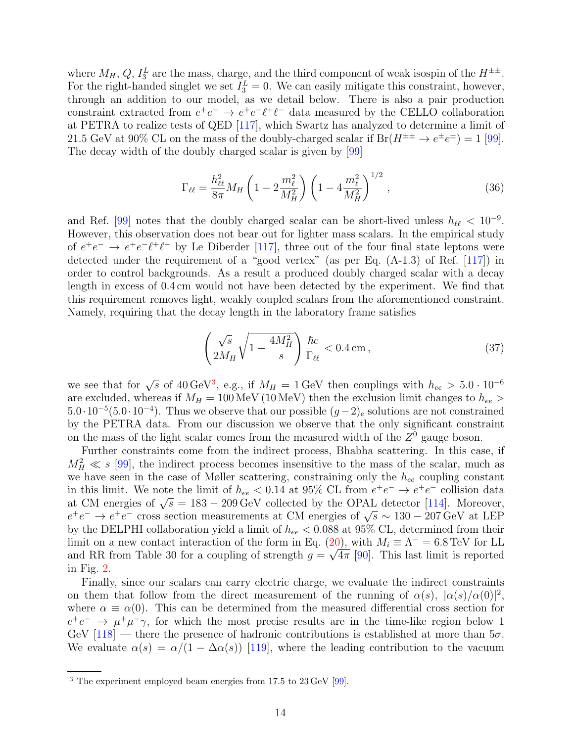where  $M_H$ ,  $Q$ ,  $I_3^L$  are the mass, charge, and the third component of weak isospin of the  $H^{\pm\pm}$ . For the right-handed singlet we set  $I_3^L = 0$ . We can easily mitigate this constraint, however, through an addition to our model, as we detail below. There is also a pair production constraint extracted from  $e^+e^- \rightarrow e^+e^-l^+\ell^-$  data measured by the CELLO collaboration at PETRA to realize tests of QED [\[117\]](#page-25-8), which Swartz has analyzed to determine a limit of 21.5 GeV at 90% CL on the mass of the doubly-charged scalar if  $Br(H^{\pm \pm} \rightarrow e^{\pm}e^{\pm}) = 1$  [\[99\]](#page-24-6). The decay width of the doubly charged scalar is given by [\[99\]](#page-24-6)

$$
\Gamma_{\ell\ell} = \frac{h_{\ell\ell}^2}{8\pi} M_H \left( 1 - 2 \frac{m_\ell^2}{M_H^2} \right) \left( 1 - 4 \frac{m_\ell^2}{M_H^2} \right)^{1/2},\tag{36}
$$

and Ref. [\[99\]](#page-24-6) notes that the doubly charged scalar can be short-lived unless  $h_{\ell\ell} < 10^{-9}$ . However, this observation does not bear out for lighter mass scalars. In the empirical study of  $e^+e^- \rightarrow e^+e^-l^+\ell^-$  by Le Diberder [\[117\]](#page-25-8), three out of the four final state leptons were detected under the requirement of a "good vertex" (as per Eq. (A-1.3) of Ref. [\[117\]](#page-25-8)) in order to control backgrounds. As a result a produced doubly charged scalar with a decay length in excess of 0.4 cm would not have been detected by the experiment. We find that this requirement removes light, weakly coupled scalars from the aforementioned constraint. Namely, requiring that the decay length in the laboratory frame satisfies

$$
\left(\frac{\sqrt{s}}{2M_H}\sqrt{1-\frac{4M_H^2}{s}}\right)\frac{\hbar c}{\Gamma_{\ell\ell}} < 0.4 \,\text{cm}\,,\tag{37}
$$

we see that for  $\sqrt{s}$  of 40 GeV<sup>[3](#page-13-0)</sup>, e.g., if  $M_H = 1$  GeV then couplings with  $h_{ee} > 5.0 \cdot 10^{-6}$ are excluded, whereas if  $M_H = 100 \text{ MeV}$  (10 MeV) then the exclusion limit changes to  $h_{ee}$  $5.0 \cdot 10^{-5} (5.0 \cdot 10^{-4})$ . Thus we observe that our possible  $(g-2)_e$  solutions are not constrained by the PETRA data. From our discussion we observe that the only significant constraint on the mass of the light scalar comes from the measured width of the  $Z<sup>0</sup>$  gauge boson.

Further constraints come from the indirect process, Bhabha scattering. In this case, if  $M_H^2 \ll s$  [\[99\]](#page-24-6), the indirect process becomes insensitive to the mass of the scalar, much as we have seen in the case of Møller scattering, constraining only the  $h_{ee}$  coupling constant in this limit. We note the limit of  $h_{ee} < 0.14$  at 95% CL from  $e^+e^- \to e^+e^-$  collision data at CM energies of  $\sqrt{s} = 183 - 209 \,\text{GeV}$  collected by the OPAL detector [\[114\]](#page-25-5). Moreover, at OM energies of  $\sqrt{s} = 185 - 209 \,\text{GeV}$  conected by the OFAL detector [114]. Moreover,<br> $e^+e^- \rightarrow e^+e^-$  cross section measurements at CM energies of  $\sqrt{s} \sim 130 - 207 \,\text{GeV}$  at LEP by the DELPHI collaboration yield a limit of  $h_{ee} < 0.088$  at 95% CL, determined from their limit on a new contact interaction of the form in Eq. [\(20\)](#page-8-3), with  $M_i \equiv \Lambda^- = 6.8 \text{ TeV}$  for LL and RR from Table 30 for a coupling of strength  $g = \sqrt{4\pi}$  [\[90\]](#page-24-0). This last limit is reported in Fig. [2.](#page-7-1)

Finally, since our scalars can carry electric charge, we evaluate the indirect constraints on them that follow from the direct measurement of the running of  $\alpha(s)$ ,  $|\alpha(s)/\alpha(0)|^2$ , where  $\alpha \equiv \alpha(0)$ . This can be determined from the measured differential cross section for  $e^+e^- \rightarrow \mu^+\mu^-\gamma$ , for which the most precise results are in the time-like region below 1 GeV  $[118]$  — there the presence of hadronic contributions is established at more than  $5\sigma$ . We evaluate  $\alpha(s) = \alpha/(1 - \Delta \alpha(s))$  [\[119\]](#page-25-10), where the leading contribution to the vacuum

<span id="page-13-0"></span><sup>3</sup> The experiment employed beam energies from 17.5 to 23 GeV [\[99\]](#page-24-6).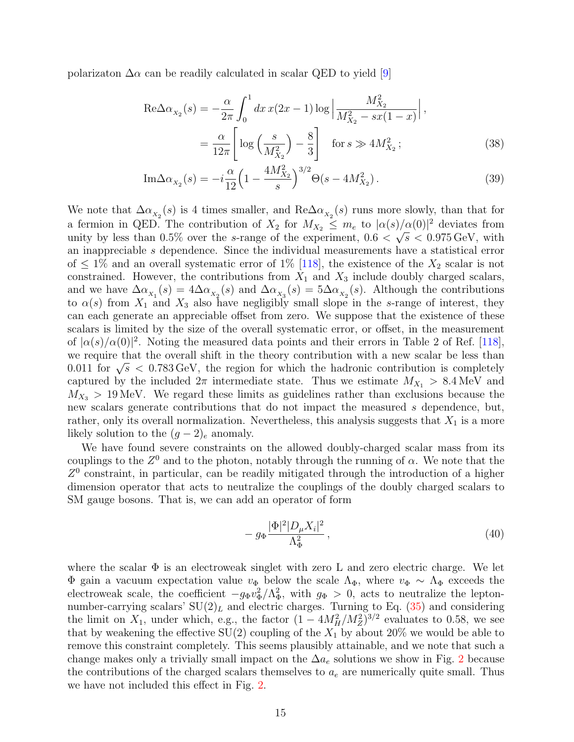polarizaton  $\Delta \alpha$  can be readily calculated in scalar QED to yield [\[9\]](#page-19-8)

$$
\text{Re}\Delta\alpha_{X_2}(s) = -\frac{\alpha}{2\pi} \int_0^1 dx \, x(2x - 1) \log \left| \frac{M_{X_2}^2}{M_{X_2}^2 - sx(1 - x)} \right|,
$$
\n
$$
= \frac{\alpha}{12\pi} \left[ \log \left( \frac{s}{M_{X_2}^2} \right) - \frac{8}{3} \right] \quad \text{for } s \gg 4M_{X_2}^2 ; \tag{38}
$$

$$
\text{Im}\Delta\alpha_{x_2}(s) = -i\frac{\alpha}{12}\left(1 - \frac{4M_{X_2}^2}{s}\right)^{3/2}\Theta(s - 4M_{X_2}^2). \tag{39}
$$

We note that  $\Delta \alpha_{x_2}(s)$  is 4 times smaller, and  $\text{Re}\Delta \alpha_{x_2}(s)$  runs more slowly, than that for a fermion in QED. The contribution of  $X_2$  for  $M_{X_2} \leq m_e$  to  $|\alpha(s)/\alpha(0)|^2$  deviates from unity by less than 0.5% over the s-range of the experiment,  $0.6 < \sqrt{s} < 0.975 \,\text{GeV}$ , with an inappreciable s dependence. Since the individual measurements have a statistical error of  $\leq 1\%$  and an overall systematic error of  $1\%$  [\[118\]](#page-25-9), the existence of the  $X_2$  scalar is not constrained. However, the contributions from  $X_1$  and  $X_3$  include doubly charged scalars, and we have  $\Delta \alpha_{X_1}(s) = 4\Delta \alpha_{X_2}(s)$  and  $\Delta \alpha_{X_3}(s) = 5\Delta \alpha_{X_2}(s)$ . Although the contributions to  $\alpha(s)$  from  $X_1$  and  $X_3$  also have negligibly small slope in the s-range of interest, they can each generate an appreciable offset from zero. We suppose that the existence of these scalars is limited by the size of the overall systematic error, or offset, in the measurement of  $|\alpha(s)/\alpha(0)|^2$ . Noting the measured data points and their errors in Table 2 of Ref. [\[118\]](#page-25-9), we require that the overall shift in the theory contribution with a new scalar be less than we require that the overall shift in the theory contribution with a new scalar be less than 0.011 for  $\sqrt{s}$  < 0.783 GeV, the region for which the hadronic contribution is completely captured by the included  $2\pi$  intermediate state. Thus we estimate  $M_{X_1} > 8.4 \,\text{MeV}$  and  $M_{X_3} > 19$  MeV. We regard these limits as guidelines rather than exclusions because the new scalars generate contributions that do not impact the measured s dependence, but, rather, only its overall normalization. Nevertheless, this analysis suggests that  $X_1$  is a more likely solution to the  $(g-2)_e$  anomaly.

We have found severe constraints on the allowed doubly-charged scalar mass from its couplings to the  $Z^0$  and to the photon, notably through the running of  $\alpha$ . We note that the  $Z<sup>0</sup>$  constraint, in particular, can be readily mitigated through the introduction of a higher dimension operator that acts to neutralize the couplings of the doubly charged scalars to SM gauge bosons. That is, we can add an operator of form

$$
- g_{\Phi} \frac{|\Phi|^2 |D_{\mu} X_i|^2}{\Lambda_{\Phi}^2}, \qquad (40)
$$

where the scalar  $\Phi$  is an electroweak singlet with zero L and zero electric charge. We let Φ gain a vacuum expectation value  $v_{\Phi}$  below the scale  $\Lambda_{\Phi}$ , where  $v_{\Phi} \sim \Lambda_{\Phi}$  exceeds the electroweak scale, the coefficient  $-g_{\Phi}v_{\Phi}^2/\Lambda_{\Phi}^2$ , with  $g_{\Phi} > 0$ , acts to neutralize the leptonnumber-carrying scalars'  $SU(2)_L$  and electric charges. Turning to Eq. [\(35\)](#page-12-0) and considering the limit on  $X_1$ , under which, e.g., the factor  $(1 - 4M_H^2/M_Z^2)^{3/2}$  evaluates to 0.58, we see that by weakening the effective  $SU(2)$  coupling of the  $X_1$  by about 20% we would be able to remove this constraint completely. This seems plausibly attainable, and we note that such a change makes only a trivially small impact on the  $\Delta a_e$  solutions we show in Fig. [2](#page-7-1) because the contributions of the charged scalars themselves to  $a_e$  are numerically quite small. Thus we have not included this effect in Fig. [2.](#page-7-1)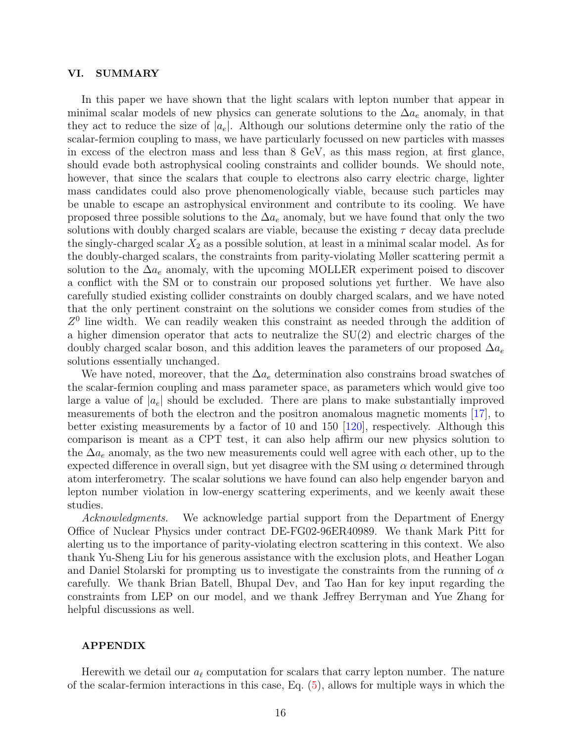#### <span id="page-15-0"></span>VI. SUMMARY

In this paper we have shown that the light scalars with lepton number that appear in minimal scalar models of new physics can generate solutions to the  $\Delta a_e$  anomaly, in that they act to reduce the size of  $|a_e|$ . Although our solutions determine only the ratio of the scalar-fermion coupling to mass, we have particularly focussed on new particles with masses in excess of the electron mass and less than 8 GeV, as this mass region, at first glance, should evade both astrophysical cooling constraints and collider bounds. We should note, however, that since the scalars that couple to electrons also carry electric charge, lighter mass candidates could also prove phenomenologically viable, because such particles may be unable to escape an astrophysical environment and contribute to its cooling. We have proposed three possible solutions to the  $\Delta a_e$  anomaly, but we have found that only the two solutions with doubly charged scalars are viable, because the existing  $\tau$  decay data preclude the singly-charged scalar  $X_2$  as a possible solution, at least in a minimal scalar model. As for the doubly-charged scalars, the constraints from parity-violating Møller scattering permit a solution to the  $\Delta a_e$  anomaly, with the upcoming MOLLER experiment poised to discover a conflict with the SM or to constrain our proposed solutions yet further. We have also carefully studied existing collider constraints on doubly charged scalars, and we have noted that the only pertinent constraint on the solutions we consider comes from studies of the  $Z<sup>0</sup>$  line width. We can readily weaken this constraint as needed through the addition of a higher dimension operator that acts to neutralize the SU(2) and electric charges of the doubly charged scalar boson, and this addition leaves the parameters of our proposed  $\Delta a_e$ solutions essentially unchanged.

We have noted, moreover, that the  $\Delta a_e$  determination also constrains broad swatches of the scalar-fermion coupling and mass parameter space, as parameters which would give too large a value of  $|a_e|$  should be excluded. There are plans to make substantially improved measurements of both the electron and the positron anomalous magnetic moments [\[17\]](#page-20-4), to better existing measurements by a factor of 10 and 150 [\[120\]](#page-25-11), respectively. Although this comparison is meant as a CPT test, it can also help affirm our new physics solution to the  $\Delta a_e$  anomaly, as the two new measurements could well agree with each other, up to the expected difference in overall sign, but yet disagree with the SM using  $\alpha$  determined through atom interferometry. The scalar solutions we have found can also help engender baryon and lepton number violation in low-energy scattering experiments, and we keenly await these studies.

Acknowledgments. We acknowledge partial support from the Department of Energy Office of Nuclear Physics under contract DE-FG02-96ER40989. We thank Mark Pitt for alerting us to the importance of parity-violating electron scattering in this context. We also thank Yu-Sheng Liu for his generous assistance with the exclusion plots, and Heather Logan and Daniel Stolarski for prompting us to investigate the constraints from the running of  $\alpha$ carefully. We thank Brian Batell, Bhupal Dev, and Tao Han for key input regarding the constraints from LEP on our model, and we thank Jeffrey Berryman and Yue Zhang for helpful discussions as well.

#### APPENDIX

Herewith we detail our  $a_\ell$  computation for scalars that carry lepton number. The nature of the scalar-fermion interactions in this case, Eq. [\(5\)](#page-4-2), allows for multiple ways in which the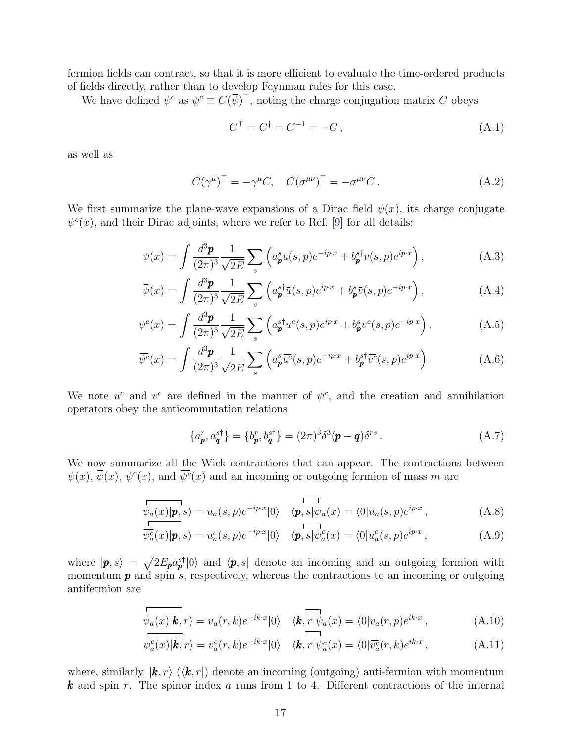fermion fields can contract, so that it is more efficient to evaluate the time-ordered products of fields directly, rather than to develop Feynman rules for this case.

We have defined  $\psi^c$  as  $\psi^c \equiv C(\bar{\psi})^\top$ , noting the charge conjugation matrix C obeys

$$
C^{\top} = C^{\dagger} = C^{-1} = -C, \tag{A.1}
$$

as well as

$$
C(\gamma^{\mu})^{\top} = -\gamma^{\mu}C, \quad C(\sigma^{\mu\nu})^{\top} = -\sigma^{\mu\nu}C.
$$
 (A.2)

We first summarize the plane-wave expansions of a Dirac field  $\psi(x)$ , its charge conjugate  $\psi^c(x)$ , and their Dirac adjoints, where we refer to Ref. [\[9\]](#page-19-8) for all details:

$$
\psi(x) = \int \frac{d^3 \mathbf{p}}{(2\pi)^3} \frac{1}{\sqrt{2E}} \sum_s \left( a^s_{\mathbf{p}} u(s, p) e^{-ip \cdot x} + b^s_{\mathbf{p}} v(s, p) e^{ip \cdot x} \right), \tag{A.3}
$$

$$
\bar{\psi}(x) = \int \frac{d^3 \mathbf{p}}{(2\pi)^3} \frac{1}{\sqrt{2E}} \sum_s \left( a_{\mathbf{p}}^{s\dagger} \bar{u}(s, p) e^{ip \cdot x} + b_{\mathbf{p}}^s \bar{v}(s, p) e^{-ip \cdot x} \right), \tag{A.4}
$$

$$
\psi^{c}(x) = \int \frac{d^{3}p}{(2\pi)^{3}} \frac{1}{\sqrt{2E}} \sum_{s} \left( a_{p}^{s\dagger} u^{c}(s, p) e^{ip\cdot x} + b_{p}^{s} v^{c}(s, p) e^{-ip\cdot x} \right), \tag{A.5}
$$

$$
\overline{\psi^c}(x) = \int \frac{d^3 \mathbf{p}}{(2\pi)^3} \frac{1}{\sqrt{2E}} \sum_s \left( a^s_{\mathbf{p}} \overline{u^c}(s, p) e^{-ip \cdot x} + b^{s\dagger}_{\mathbf{p}} \overline{v^c}(s, p) e^{ip \cdot x} \right). \tag{A.6}
$$

We note  $u^c$  and  $v^c$  are defined in the manner of  $\psi^c$ , and the creation and annihilation operators obey the anticommutation relations

$$
\{a_p^r, a_q^{s\dagger}\} = \{b_p^r, b_q^{s\dagger}\} = (2\pi)^3 \delta^3(\mathbf{p} - \mathbf{q}) \delta^{rs} \,. \tag{A.7}
$$

We now summarize all the Wick contractions that can appear. The contractions between  $\psi(x), \,\overline{\psi}(x), \psi^c(x),$  and  $\overline{\psi^c}(x)$  and an incoming or outgoing fermion of mass m are

$$
\overline{\psi_a(x)|\mathbf{p},s}\rangle = u_a(s,p)e^{-ip\cdot x}|0\rangle \quad \langle \mathbf{p},s|\overline{\psi}_a(x) = \langle 0|\overline{u}_a(s,p)e^{ip\cdot x},\tag{A.8}
$$

$$
\overline{\psi_a^c}(x)|\mathbf{p},s\rangle = \overline{u_a^c}(s,p)e^{-ip\cdot x}|0\rangle \quad \langle \mathbf{p},s|\psi_a^c(x) = \langle 0|u_a^c(s,p)e^{ip\cdot x},\tag{A.9}
$$

where  $|\mathbf{p}, s\rangle = \sqrt{2E_p}a_p^{s\dagger}|0\rangle$  and  $\langle \mathbf{p}, s|$  denote an incoming and an outgoing fermion with momentum  $p$  and spin s, respectively, whereas the contractions to an incoming or outgoing antifermion are

$$
\overline{\overline{\psi}_a(x) \vert \mathbf{k}, r} = \overline{v}_a(r, k) e^{-ik \cdot x} \vert 0 \rangle \quad \langle \mathbf{k}, r \vert \overline{\psi}_a(x) = \langle 0 \vert v_a(r, p) e^{ik \cdot x} \,, \tag{A.10}
$$

$$
\psi_a^c(x)|\mathbf{k},r\rangle = v_a^c(r,k)e^{-ik\cdot x}|0\rangle \quad \langle \mathbf{k},r|\overline{\psi_a^c}(x) = \langle 0|\overline{v_a^c}(r,k)e^{ik\cdot x},\tag{A.11}
$$

where, similarly,  $|\mathbf{k}, r\rangle$  ( $\langle \mathbf{k}, r|$ ) denote an incoming (outgoing) anti-fermion with momentum **k** and spin r. The spinor index a runs from 1 to 4. Different contractions of the internal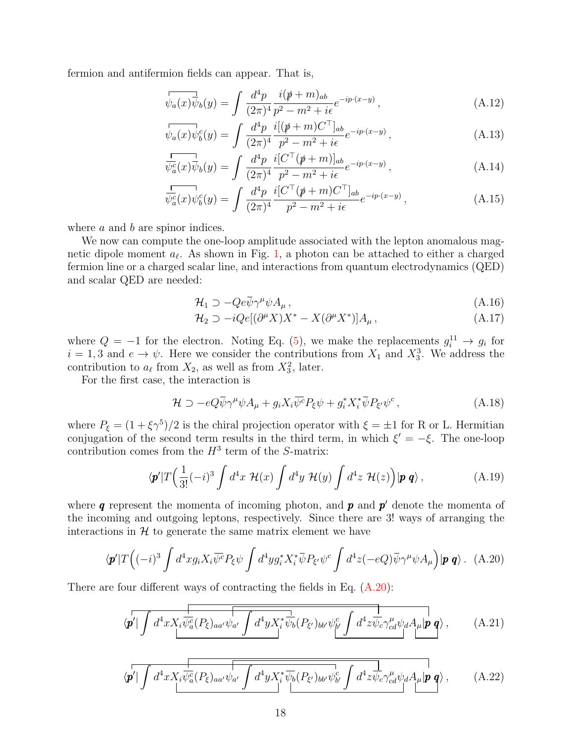fermion and antifermion fields can appear. That is,

$$
\overline{\psi_a(x)}\overline{\psi_b}(y) = \int \frac{d^4p}{(2\pi)^4} \frac{i(p+m)_{ab}}{p^2 - m^2 + i\epsilon} e^{-ip\cdot(x-y)},
$$
\n(A.12)

$$
\overline{\psi_a(x)}\psi_b^c(y) = \int \frac{d^4p}{(2\pi)^4} \frac{i[(\psi + m)C^\top]_{ab}}{p^2 - m^2 + i\epsilon} e^{-ip \cdot (x - y)},\tag{A.13}
$$

$$
\frac{1}{\psi_a^c(x)}\overline{\psi}_b(y) = \int \frac{d^4p}{(2\pi)^4} \frac{i[C^\top(\rlap/v + m)]_{ab}}{p^2 - m^2 + i\epsilon} e^{-ip \cdot (x-y)},\tag{A.14}
$$

$$
\overline{\psi_a^c(x)}\psi_b^c(y) = \int \frac{d^4p}{(2\pi)^4} \frac{i[C^\top(\not p + m)C^\top]_{ab}}{p^2 - m^2 + i\epsilon} e^{-ip \cdot (x-y)}, \tag{A.15}
$$

where a and b are spinor indices.

We now can compute the one-loop amplitude associated with the lepton anomalous magnetic dipole moment  $a_{\ell}$ . As shown in Fig. [1,](#page-5-0) a photon can be attached to either a charged fermion line or a charged scalar line, and interactions from quantum electrodynamics (QED) and scalar QED are needed:

$$
\mathcal{H}_1 \supset -Qe\bar{\psi}\gamma^{\mu}\psi A_{\mu},\tag{A.16}
$$

$$
\mathcal{H}_2 \supset -iQe[(\partial^{\mu}X)X^* - X(\partial^{\mu}X^*)]A_{\mu}, \qquad (A.17)
$$

where  $Q = -1$  for the electron. Noting Eq. [\(5\)](#page-4-2), we make the replacements  $g_i^{11} \rightarrow g_i$  for  $i = 1, 3$  and  $e \to \psi$ . Here we consider the contributions from  $X_1$  and  $X_3^3$ . We address the contribution to  $a_\ell$  from  $X_2$ , as well as from  $X_3^2$ , later.

For the first case, the interaction is

$$
\mathcal{H} \supset -eQ\bar{\psi}\gamma^{\mu}\psi A_{\mu} + g_i X_i \overline{\psi^c} P_{\xi}\psi + g_i^* X_i^* \overline{\psi} P_{\xi'} \psi^c , \qquad (A.18)
$$

where  $P_{\xi} = (1 + \xi \gamma^5)/2$  is the chiral projection operator with  $\xi = \pm 1$  for R or L. Hermitian conjugation of the second term results in the third term, in which  $\xi' = -\xi$ . The one-loop contribution comes from the  $H^3$  term of the S-matrix:

$$
\langle \mathbf{p}'|T\Big(\frac{1}{3!}(-i)^3\int d^4x \; \mathcal{H}(x)\int d^4y \; \mathcal{H}(y)\int d^4z \; \mathcal{H}(z)\Big)|\mathbf{p}\,\mathbf{q}\rangle\,,\tag{A.19}
$$

where  $q$  represent the momenta of incoming photon, and  $p$  and  $p'$  denote the momenta of the incoming and outgoing leptons, respectively. Since there are 3! ways of arranging the interactions in  $H$  to generate the same matrix element we have

<span id="page-17-0"></span>
$$
\langle \mathbf{p}'|T\Big((-i)^3\int d^4x g_i X_i \overline{\psi^c} P_{\xi}\psi \int d^4y g_i^* X_i^* \overline{\psi} P_{\xi'}\psi^c \int d^4z (-eQ)\overline{\psi}\gamma^{\mu}\psi A_{\mu}\Big)|\mathbf{p}\,\mathbf{q}\rangle. \tag{A.20}
$$

There are four different ways of contracting the fields in Eq. [\(A.20\)](#page-17-0):

$$
\langle \mathbf{p'} | \int d^4x X_i \overline{\psi_a^c} (P_\xi)_{aa'} \psi_{a'} \int d^4y X_i^* \overline{\psi_b} (P_{\xi'})_{bb'} \psi_{b'}^c \int d^4z \overline{\psi_c} \gamma_{cd}^\mu \psi_d A_\mu | \mathbf{p} \mathbf{q} \rangle , \qquad (A.21)
$$

$$
\langle \mathbf{p'} | \int d^4x X_i \overline{\psi_a^c(P_\xi)_{aa'} \psi_{a'}} \int d^4y X_i^* \overline{\psi_b(P_{\xi'})_{bb'} \psi_{b'}^c} \int d^4z \overline{\psi_c \gamma_{cd}^{\mu} \psi_d A_{\mu} | \mathbf{p} | \mathbf{q}} \rangle , \qquad (A.22)
$$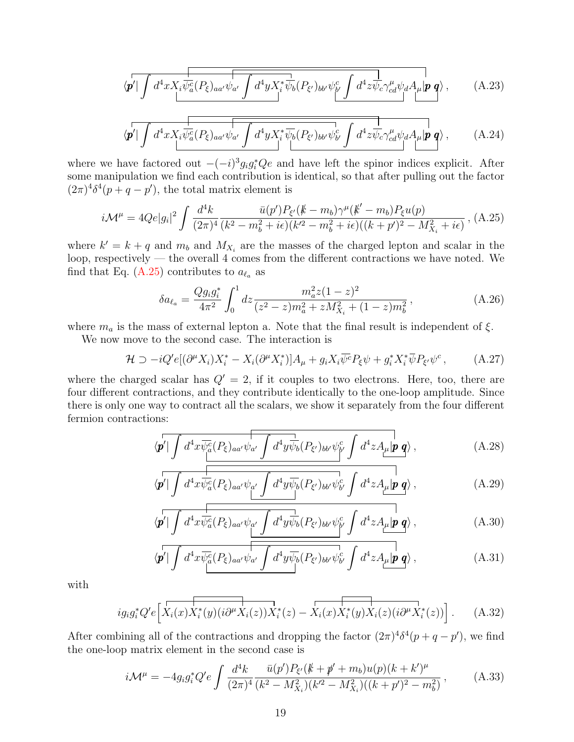$$
\langle \mathbf{p'} | \int d^4x X_i \overline{\psi_a^c(P_\xi)_{aa'}} \psi_{a'} \int d^4y X_i^* \overline{\psi_b(P_{\xi'})_{bb'} \psi_{b'}^c \int d^4z \overline{\psi_c} \gamma_{cd}^\mu \psi_d A_\mu | \mathbf{p} | \mathbf{q} \rangle}, \tag{A.23}
$$

$$
\langle \mathbf{p'} | \int d^4x X_i \overline{\psi_a^c(P_\xi)_{aa'} \psi_{a'}} \overline{\int d^4y X_i^* \overline{\psi_b(P_{\xi'})_{bb'} \psi_{b'}^c} \int d^4z \overline{\psi_c} \gamma_{cd}^\mu \psi_d A_\mu | \mathbf{p} \mathbf{q} \rangle}, \qquad (A.24)
$$

where we have factored out  $-(-i)^3 g_i g_i^* Q_e$  and have left the spinor indices explicit. After some manipulation we find each contribution is identical, so that after pulling out the factor  $(2\pi)^4 \delta^4(p+q-p')$ , the total matrix element is

<span id="page-18-1"></span>
$$
i\mathcal{M}^{\mu} = 4Qe|g_i|^2 \int \frac{d^4k}{(2\pi)^4} \frac{\bar{u}(p')P_{\xi'}(\not{k} - m_b)\gamma^{\mu}(\not{k}' - m_b)P_{\xi}u(p)}{(\xi^2 - m_b^2 + i\epsilon)(\xi'^2 - m_b^2 + i\epsilon)((k + p')^2 - M_{X_i}^2 + i\epsilon)},
$$
(A.25)

where  $k' = k + q$  and  $m_b$  and  $M_{X_i}$  are the masses of the charged lepton and scalar in the loop, respectively — the overall 4 comes from the different contractions we have noted. We find that Eq. [\(A.25\)](#page-18-1) contributes to  $a_{\ell_a}$  as

<span id="page-18-0"></span>
$$
\delta a_{\ell_a} = \frac{Q g_i g_i^*}{4\pi^2} \int_0^1 dz \frac{m_a^2 z (1-z)^2}{(z^2 - z) m_a^2 + z M_{X_i}^2 + (1-z) m_b^2},
$$
\n(A.26)

where  $m_a$  is the mass of external lepton a. Note that the final result is independent of  $\xi$ .

We now move to the second case. The interaction is

 $\langle$ 

$$
\mathcal{H} \supset -iQ'e[(\partial^{\mu}X_i)X_i^* - X_i(\partial^{\mu}X_i^*)]A_{\mu} + g_iX_i\overline{\psi}^c P_{\xi}\psi + g_i^*X_i^*\overline{\psi}P_{\xi'}\psi^c, \qquad (A.27)
$$

where the charged scalar has  $Q' = 2$ , if it couples to two electrons. Here, too, there are four different contractions, and they contribute identically to the one-loop amplitude. Since there is only one way to contract all the scalars, we show it separately from the four different fermion contractions:

$$
\langle \mathbf{p'} | \int d^4x \overline{\psi_a^c}(P_\xi)_{aa'} \psi_{a'} \int d^4y \overline{\psi_b}(P_{\xi'})_{bb'} \psi_{\mathbf{p'}}^c \int d^4z A_\mu |\mathbf{p} \mathbf{q} \rangle , \qquad (A.28)
$$

$$
\mathbf{p}'|\int d^4x \overline{\psi_a^c}(P_{\xi})_{aa'}\psi_{a'}\int d^4y \overline{\psi_b}(P_{\xi'})_{bb'}\psi_{b'}^c \int d^4z A_{\mu}|\mathbf{p}\mathbf{q}\rangle ,\qquad (A.29)
$$

$$
\langle \mathbf{p'} | \int d^4x \overline{\psi_a^c}(P_{\xi})_{aa'} \psi_{a'} \int d^4y \overline{\psi_b}(P_{\xi'})_{bb'} \psi_{b'}^c \int d^4z A_{\mu} | \mathbf{p} | \mathbf{q} \rangle , \qquad (A.30)
$$

$$
\langle \mathbf{p'} | \int d^4x \overline{\psi_a^c}(P_{\xi})_{aa'} \psi_{a'} \int d^4y \overline{\psi_b}(P_{\xi'})_{bb'} \psi_{b'}^c \int d^4z A_{\mu} | \mathbf{p} | \mathbf{q} \rangle , \qquad (A.31)
$$

with

$$
ig_i g_i^* Q' e \left[ \overbrace{X_i(x) X_i^*(y) (i \partial^\mu X_i(z)) X_i^*(z)} - \overbrace{X_i(x) X_i^*(y) X_i(z) (i \partial^\mu X_i^*(z))} \right].
$$
 (A.32)

After combining all of the contractions and dropping the factor  $(2\pi)^4 \delta^4(p+q-p')$ , we find the one-loop matrix element in the second case is

$$
i\mathcal{M}^{\mu} = -4g_i g_i^* Q' e \int \frac{d^4k}{(2\pi)^4} \frac{\bar{u}(p')P_{\xi'}(\cancel{k} + \cancel{p'} + m_b)u(p)(k + k')^{\mu}}{(k^2 - M_{X_i}^2)(k'^2 - M_{X_i}^2)((k + p')^2 - m_b^2)}, \tag{A.33}
$$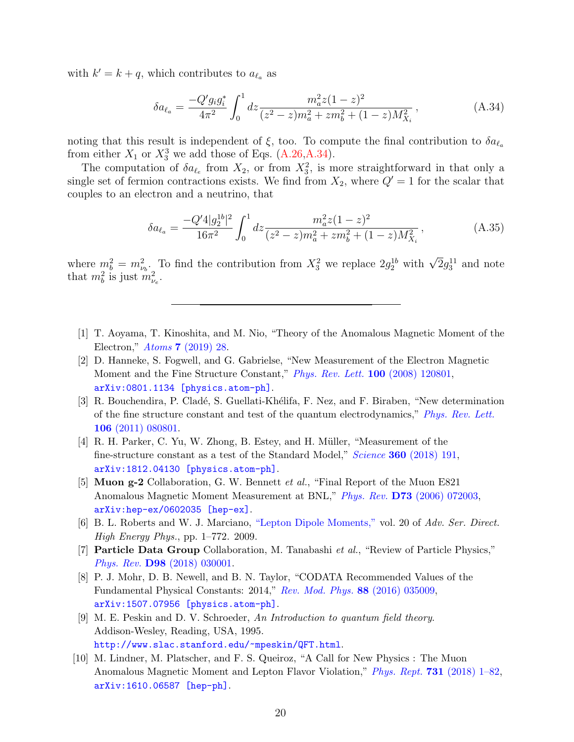with  $k' = k + q$ , which contributes to  $a_{\ell_a}$  as

<span id="page-19-9"></span>
$$
\delta a_{\ell_a} = \frac{-Q' g_i g_i^*}{4\pi^2} \int_0^1 dz \frac{m_a^2 z (1-z)^2}{(z^2 - z) m_a^2 + z m_b^2 + (1-z) M_{X_i}^2},
$$
\n(A.34)

noting that this result is independent of  $\xi$ , too. To compute the final contribution to  $\delta a_{\ell}$ from either  $X_1$  or  $X_3^3$  we add those of Eqs. [\(A.26,](#page-18-0)[A.34\)](#page-19-9).

The computation of  $\delta a_{\ell_e}$  from  $X_2$ , or from  $X_3^2$ , is more straightforward in that only a single set of fermion contractions exists. We find from  $X_2$ , where  $Q' = 1$  for the scalar that couples to an electron and a neutrino, that

<span id="page-19-10"></span>
$$
\delta a_{\ell_a} = \frac{-Q'4|g_2^{1b}|^2}{16\pi^2} \int_0^1 dz \frac{m_a^2 z (1-z)^2}{(z^2-z)m_a^2 + zm_b^2 + (1-z)M_{X_i}^2},\tag{A.35}
$$

where  $m_b^2 = m_{\nu_b}^2$ . To find the contribution from  $X_3^2$  we replace  $2g_2^{1b}$  with  $\sqrt{2}g_3^{11}$  and note that  $m_b^2$  is just  $m_{\nu_e}^2$ .

- <span id="page-19-0"></span>[1] T. Aoyama, T. Kinoshita, and M. Nio, "Theory of the Anomalous Magnetic Moment of the Electron," Atoms 7 [\(2019\) 28.](http://dx.doi.org/10.3390/atoms7010028)
- <span id="page-19-6"></span>[2] D. Hanneke, S. Fogwell, and G. Gabrielse, "New Measurement of the Electron Magnetic Moment and the Fine Structure Constant," [Phys. Rev. Lett.](http://dx.doi.org/10.1103/PhysRevLett.100.120801) 100 (2008) 120801, [arXiv:0801.1134 \[physics.atom-ph\]](http://arxiv.org/abs/0801.1134).
- <span id="page-19-4"></span>[3] R. Bouchendira, P. Cladé, S. Guellati-Khélifa, F. Nez, and F. Biraben, "New determination of the fine structure constant and test of the quantum electrodynamics," [Phys. Rev. Lett.](http://dx.doi.org/10.1103/PhysRevLett.106.080801) 106 [\(2011\) 080801.](http://dx.doi.org/10.1103/PhysRevLett.106.080801)
- <span id="page-19-5"></span>[4] R. H. Parker, C. Yu, W. Zhong, B. Estey, and H. M¨uller, "Measurement of the fine-structure constant as a test of the Standard Model," Science 360 [\(2018\) 191,](http://dx.doi.org/10.1126/science.aap7706) [arXiv:1812.04130 \[physics.atom-ph\]](http://arxiv.org/abs/1812.04130).
- <span id="page-19-7"></span>[5] Muon g-2 Collaboration, G. W. Bennett et al., "Final Report of the Muon E821 Anomalous Magnetic Moment Measurement at BNL," Phys. Rev. D73 [\(2006\) 072003,](http://dx.doi.org/10.1103/PhysRevD.73.072003) [arXiv:hep-ex/0602035 \[hep-ex\]](http://arxiv.org/abs/hep-ex/0602035).
- <span id="page-19-2"></span>[6] B. L. Roberts and W. J. Marciano, ["Lepton Dipole Moments,"](http://dx.doi.org/10.1142/7273) vol. 20 of Adv. Ser. Direct. High Energy Phys., pp. 1–772. 2009.
- <span id="page-19-11"></span>[7] Particle Data Group Collaboration, M. Tanabashi et al., "Review of Particle Physics," Phys. Rev. D98 [\(2018\) 030001.](http://dx.doi.org/10.1103/PhysRevD.98.030001)
- <span id="page-19-1"></span>[8] P. J. Mohr, D. B. Newell, and B. N. Taylor, "CODATA Recommended Values of the Fundamental Physical Constants: 2014," [Rev. Mod. Phys.](http://dx.doi.org/10.1103/RevModPhys.88.035009) 88 (2016) 035009, [arXiv:1507.07956 \[physics.atom-ph\]](http://arxiv.org/abs/1507.07956).
- <span id="page-19-8"></span>[9] M. E. Peskin and D. V. Schroeder, An Introduction to quantum field theory. Addison-Wesley, Reading, USA, 1995. <http://www.slac.stanford.edu/~mpeskin/QFT.html>.
- <span id="page-19-3"></span>[10] M. Lindner, M. Platscher, and F. S. Queiroz, "A Call for New Physics : The Muon Anomalous Magnetic Moment and Lepton Flavor Violation," Phys. Rept. 731 [\(2018\) 1–82,](http://dx.doi.org/10.1016/j.physrep.2017.12.001) [arXiv:1610.06587 \[hep-ph\]](http://arxiv.org/abs/1610.06587).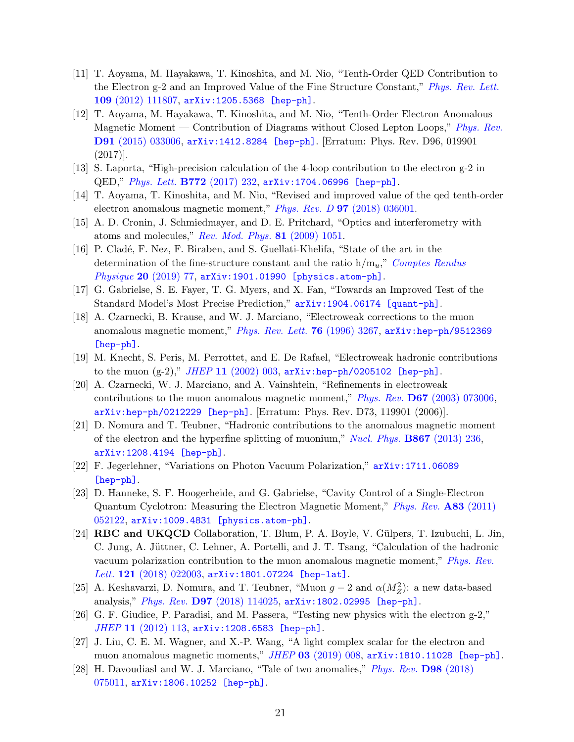- <span id="page-20-0"></span>[11] T. Aoyama, M. Hayakawa, T. Kinoshita, and M. Nio, "Tenth-Order QED Contribution to the Electron g-2 and an Improved Value of the Fine Structure Constant," [Phys. Rev. Lett.](http://dx.doi.org/10.1103/PhysRevLett.109.111807) 109 [\(2012\) 111807,](http://dx.doi.org/10.1103/PhysRevLett.109.111807) [arXiv:1205.5368 \[hep-ph\]](http://arxiv.org/abs/1205.5368).
- [12] T. Aoyama, M. Hayakawa, T. Kinoshita, and M. Nio, "Tenth-Order Electron Anomalous Magnetic Moment — Contribution of Diagrams without Closed Lepton Loops," [Phys. Rev.](http://dx.doi.org/10.1103/PhysRevD.91.033006, 10.1103/PhysRevD.96.019901) D91 [\(2015\) 033006,](http://dx.doi.org/10.1103/PhysRevD.91.033006, 10.1103/PhysRevD.96.019901) [arXiv:1412.8284 \[hep-ph\]](http://arxiv.org/abs/1412.8284). [Erratum: Phys. Rev. D96, 019901  $(2017)$ .
- [13] S. Laporta, "High-precision calculation of the 4-loop contribution to the electron g-2 in QED," [Phys. Lett.](http://dx.doi.org/10.1016/j.physletb.2017.06.056) B772 (2017) 232, [arXiv:1704.06996 \[hep-ph\]](http://arxiv.org/abs/1704.06996).
- <span id="page-20-1"></span>[14] T. Aoyama, T. Kinoshita, and M. Nio, "Revised and improved value of the qed tenth-order electron anomalous magnetic moment," Phys. Rev. D 97 [\(2018\) 036001.](http://dx.doi.org/10.1103/PhysRevD.97.036001)
- <span id="page-20-2"></span>[15] A. D. Cronin, J. Schmiedmayer, and D. E. Pritchard, "Optics and interferometry with atoms and molecules," [Rev. Mod. Phys.](http://dx.doi.org/10.1103/RevModPhys.81.1051) 81 (2009) 1051.
- <span id="page-20-3"></span>[16] P. Cladé, F. Nez, F. Biraben, and S. Guellati-Khelifa, "State of the art in the determination of the fine-structure constant and the ratio  $h/m_u$ ," [Comptes Rendus](http://dx.doi.org/10.1016/j.crhy.2018.12.003) Physique 20 [\(2019\) 77,](http://dx.doi.org/10.1016/j.crhy.2018.12.003) [arXiv:1901.01990 \[physics.atom-ph\]](http://arxiv.org/abs/1901.01990).
- <span id="page-20-4"></span>[17] G. Gabrielse, S. E. Fayer, T. G. Myers, and X. Fan, "Towards an Improved Test of the Standard Model's Most Precise Prediction," [arXiv:1904.06174 \[quant-ph\]](http://arxiv.org/abs/1904.06174).
- <span id="page-20-5"></span>[18] A. Czarnecki, B. Krause, and W. J. Marciano, "Electroweak corrections to the muon anomalous magnetic moment," [Phys. Rev. Lett.](http://dx.doi.org/10.1103/PhysRevLett.76.3267) 76 (1996) 3267, [arXiv:hep-ph/9512369](http://arxiv.org/abs/hep-ph/9512369) [\[hep-ph\]](http://arxiv.org/abs/hep-ph/9512369).
- [19] M. Knecht, S. Peris, M. Perrottet, and E. De Rafael, "Electroweak hadronic contributions to the muon  $(g-2)$ ," JHEP 11 [\(2002\) 003,](http://dx.doi.org/10.1088/1126-6708/2002/11/003) [arXiv:hep-ph/0205102 \[hep-ph\]](http://arxiv.org/abs/hep-ph/0205102).
- <span id="page-20-6"></span>[20] A. Czarnecki, W. J. Marciano, and A. Vainshtein, "Refinements in electroweak contributions to the muon anomalous magnetic moment," Phys. Rev. D67 [\(2003\) 073006,](http://dx.doi.org/10.1103/PhysRevD.67.073006, 10.1103/PhysRevD.73.119901) [arXiv:hep-ph/0212229 \[hep-ph\]](http://arxiv.org/abs/hep-ph/0212229). [Erratum: Phys. Rev. D73, 119901 (2006)].
- <span id="page-20-7"></span>[21] D. Nomura and T. Teubner, "Hadronic contributions to the anomalous magnetic moment of the electron and the hyperfine splitting of muonium," [Nucl. Phys.](http://dx.doi.org/10.1016/j.nuclphysb.2012.10.001) B867 (2013) 236, [arXiv:1208.4194 \[hep-ph\]](http://arxiv.org/abs/1208.4194).
- <span id="page-20-8"></span>[22] F. Jegerlehner, "Variations on Photon Vacuum Polarization," [arXiv:1711.06089](http://arxiv.org/abs/1711.06089) [\[hep-ph\]](http://arxiv.org/abs/1711.06089).
- <span id="page-20-9"></span>[23] D. Hanneke, S. F. Hoogerheide, and G. Gabrielse, "Cavity Control of a Single-Electron Quantum Cyclotron: Measuring the Electron Magnetic Moment," [Phys. Rev.](http://dx.doi.org/10.1103/PhysRevA.83.052122) A83 (2011) [052122,](http://dx.doi.org/10.1103/PhysRevA.83.052122) [arXiv:1009.4831 \[physics.atom-ph\]](http://arxiv.org/abs/1009.4831).
- <span id="page-20-10"></span>[24] **RBC and UKQCD** Collaboration, T. Blum, P. A. Boyle, V. Gülpers, T. Izubuchi, L. Jin, C. Jung, A. Jüttner, C. Lehner, A. Portelli, and J. T. Tsang, "Calculation of the hadronic vacuum polarization contribution to the muon anomalous magnetic moment," [Phys. Rev.](http://dx.doi.org/10.1103/PhysRevLett.121.022003) Lett. 121 [\(2018\) 022003,](http://dx.doi.org/10.1103/PhysRevLett.121.022003) [arXiv:1801.07224 \[hep-lat\]](http://arxiv.org/abs/1801.07224).
- <span id="page-20-11"></span>[25] A. Keshavarzi, D. Nomura, and T. Teubner, "Muon  $g-2$  and  $\alpha(M_Z^2)$ : a new data-based analysis," Phys. Rev. D97 [\(2018\) 114025,](http://dx.doi.org/10.1103/PhysRevD.97.114025) [arXiv:1802.02995 \[hep-ph\]](http://arxiv.org/abs/1802.02995).
- <span id="page-20-12"></span>[26] G. F. Giudice, P. Paradisi, and M. Passera, "Testing new physics with the electron g-2," JHEP 11 [\(2012\) 113,](http://dx.doi.org/10.1007/JHEP11(2012)113) [arXiv:1208.6583 \[hep-ph\]](http://arxiv.org/abs/1208.6583).
- <span id="page-20-13"></span>[27] J. Liu, C. E. M. Wagner, and X.-P. Wang, "A light complex scalar for the electron and muon anomalous magnetic moments,"  $JHEP$  03 [\(2019\) 008,](http://dx.doi.org/10.1007/JHEP03(2019)008)  $arXiv:1810.11028$  [hep-ph].
- <span id="page-20-14"></span>[28] H. Davoudiasl and W. J. Marciano, "Tale of two anomalies," [Phys. Rev.](http://dx.doi.org/10.1103/PhysRevD.98.075011) D98 (2018) [075011,](http://dx.doi.org/10.1103/PhysRevD.98.075011) [arXiv:1806.10252 \[hep-ph\]](http://arxiv.org/abs/1806.10252).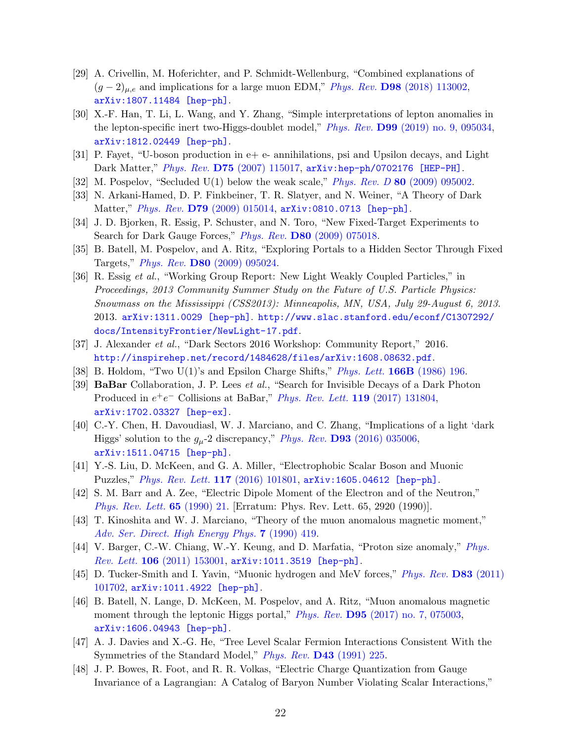- <span id="page-21-13"></span>[29] A. Crivellin, M. Hoferichter, and P. Schmidt-Wellenburg, "Combined explanations of  $(g-2)_{\mu,e}$  and implications for a large muon EDM," Phys. Rev. D98 [\(2018\) 113002,](http://dx.doi.org/10.1103/PhysRevD.98.113002) [arXiv:1807.11484 \[hep-ph\]](http://arxiv.org/abs/1807.11484).
- <span id="page-21-0"></span>[30] X.-F. Han, T. Li, L. Wang, and Y. Zhang, "Simple interpretations of lepton anomalies in the lepton-specific inert two-Higgs-doublet model," Phys. Rev. D99 [\(2019\) no. 9, 095034,](http://dx.doi.org/10.1103/PhysRevD.99.095034) [arXiv:1812.02449 \[hep-ph\]](http://arxiv.org/abs/1812.02449).
- <span id="page-21-1"></span>[31] P. Fayet, "U-boson production in e+ e- annihilations, psi and Upsilon decays, and Light Dark Matter," Phys. Rev. D75 [\(2007\) 115017,](http://dx.doi.org/10.1103/PhysRevD.75.115017) [arXiv:hep-ph/0702176 \[HEP-PH\]](http://arxiv.org/abs/hep-ph/0702176).
- <span id="page-21-2"></span>[32] M. Pospelov, "Secluded U(1) below the weak scale," *Phys. Rev. D* 80 [\(2009\) 095002.](http://dx.doi.org/10.1103/PhysRevD.80.095002)
- <span id="page-21-3"></span>[33] N. Arkani-Hamed, D. P. Finkbeiner, T. R. Slatyer, and N. Weiner, "A Theory of Dark Matter," Phys. Rev. D79 [\(2009\) 015014,](http://dx.doi.org/10.1103/PhysRevD.79.015014) [arXiv:0810.0713 \[hep-ph\]](http://arxiv.org/abs/0810.0713).
- <span id="page-21-4"></span>[34] J. D. Bjorken, R. Essig, P. Schuster, and N. Toro, "New Fixed-Target Experiments to Search for Dark Gauge Forces," Phys. Rev. D80 [\(2009\) 075018.](http://dx.doi.org/10.1103/PhysRevD.80.075018)
- <span id="page-21-5"></span>[35] B. Batell, M. Pospelov, and A. Ritz, "Exploring Portals to a Hidden Sector Through Fixed Targets," Phys. Rev. D80 [\(2009\) 095024.](http://dx.doi.org/10.1103/PhysRevD.80.095024)
- <span id="page-21-6"></span>[36] R. Essig et al., "Working Group Report: New Light Weakly Coupled Particles," in Proceedings, 2013 Community Summer Study on the Future of U.S. Particle Physics: Snowmass on the Mississippi (CSS2013): Minneapolis, MN, USA, July 29-August 6, 2013. 2013. [arXiv:1311.0029 \[hep-ph\]](http://arxiv.org/abs/1311.0029). [http://www.slac.stanford.edu/econf/C1307292/](http://www.slac.stanford.edu/econf/C1307292/docs/IntensityFrontier/NewLight-17.pdf) [docs/IntensityFrontier/NewLight-17.pdf](http://www.slac.stanford.edu/econf/C1307292/docs/IntensityFrontier/NewLight-17.pdf).
- <span id="page-21-7"></span>[37] J. Alexander et al., "Dark Sectors 2016 Workshop: Community Report," 2016. <http://inspirehep.net/record/1484628/files/arXiv:1608.08632.pdf>.
- <span id="page-21-8"></span>[38] B. Holdom, "Two U(1)'s and Epsilon Charge Shifts," [Phys. Lett.](http://dx.doi.org/10.1016/0370-2693(86)91377-8) 166B (1986) 196.
- <span id="page-21-9"></span>[39] BaBar Collaboration, J. P. Lees et al., "Search for Invisible Decays of a Dark Photon Produced in  $e^+e^-$  Collisions at BaBar," [Phys. Rev. Lett.](http://dx.doi.org/10.1103/PhysRevLett.119.131804) 119 (2017) 131804, [arXiv:1702.03327 \[hep-ex\]](http://arxiv.org/abs/1702.03327).
- <span id="page-21-10"></span>[40] C.-Y. Chen, H. Davoudiasl, W. J. Marciano, and C. Zhang, "Implications of a light 'dark Higgs' solution to the  $g_{\mu}$ -2 discrepancy," Phys. Rev. **D93** [\(2016\) 035006,](http://dx.doi.org/10.1103/PhysRevD.93.035006) [arXiv:1511.04715 \[hep-ph\]](http://arxiv.org/abs/1511.04715).
- <span id="page-21-11"></span>[41] Y.-S. Liu, D. McKeen, and G. A. Miller, "Electrophobic Scalar Boson and Muonic Puzzles," [Phys. Rev. Lett.](http://dx.doi.org/10.1103/PhysRevLett.117.101801) 117 (2016) 101801, [arXiv:1605.04612 \[hep-ph\]](http://arxiv.org/abs/1605.04612).
- <span id="page-21-12"></span>[42] S. M. Barr and A. Zee, "Electric Dipole Moment of the Electron and of the Neutron," [Phys. Rev. Lett.](http://dx.doi.org/10.1103/PhysRevLett.65.2920, 10.1103/PhysRevLett.65.21) 65 (1990) 21. [Erratum: Phys. Rev. Lett. 65, 2920 (1990)].
- <span id="page-21-14"></span>[43] T. Kinoshita and W. J. Marciano, "Theory of the muon anomalous magnetic moment," [Adv. Ser. Direct. High Energy Phys.](http://dx.doi.org/10.1142/9789814503273_0010) 7 (1990) 419.
- [44] V. Barger, C.-W. Chiang, W.-Y. Keung, and D. Marfatia, "Proton size anomaly," [Phys.](http://dx.doi.org/10.1103/PhysRevLett.106.153001) Rev. Lett. 106 [\(2011\) 153001,](http://dx.doi.org/10.1103/PhysRevLett.106.153001) [arXiv:1011.3519 \[hep-ph\]](http://arxiv.org/abs/1011.3519).
- [45] D. Tucker-Smith and I. Yavin, "Muonic hydrogen and MeV forces," [Phys. Rev.](http://dx.doi.org/10.1103/PhysRevD.83.101702) D83 (2011) [101702,](http://dx.doi.org/10.1103/PhysRevD.83.101702) [arXiv:1011.4922 \[hep-ph\]](http://arxiv.org/abs/1011.4922).
- <span id="page-21-15"></span>[46] B. Batell, N. Lange, D. McKeen, M. Pospelov, and A. Ritz, "Muon anomalous magnetic moment through the leptonic Higgs portal," *Phys. Rev.* **D95** [\(2017\) no. 7, 075003,](http://dx.doi.org/10.1103/PhysRevD.95.075003) [arXiv:1606.04943 \[hep-ph\]](http://arxiv.org/abs/1606.04943).
- <span id="page-21-16"></span>[47] A. J. Davies and X.-G. He, "Tree Level Scalar Fermion Interactions Consistent With the Symmetries of the Standard Model," *Phys. Rev.* **D43** [\(1991\) 225.](http://dx.doi.org/10.1103/PhysRevD.43.225)
- [48] J. P. Bowes, R. Foot, and R. R. Volkas, "Electric Charge Quantization from Gauge Invariance of a Lagrangian: A Catalog of Baryon Number Violating Scalar Interactions,"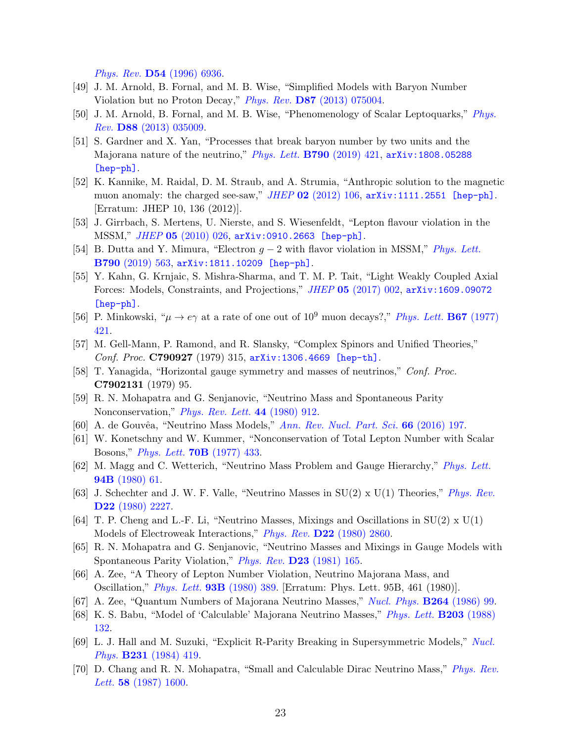Phys. Rev. D54 [\(1996\) 6936.](http://dx.doi.org/10.1103/PhysRevD.54.6936)

- <span id="page-22-14"></span>[49] J. M. Arnold, B. Fornal, and M. B. Wise, "Simplified Models with Baryon Number Violation but no Proton Decay," Phys. Rev. D87 [\(2013\) 075004.](http://dx.doi.org/10.1103/PhysRevD.87.075004)
- [50] J. M. Arnold, B. Fornal, and M. B. Wise, "Phenomenology of Scalar Leptoquarks," [Phys.](http://dx.doi.org/10.1103/PhysRevD.88.035009) Rev. D88 [\(2013\) 035009.](http://dx.doi.org/10.1103/PhysRevD.88.035009)
- <span id="page-22-0"></span>[51] S. Gardner and X. Yan, "Processes that break baryon number by two units and the Majorana nature of the neutrino," [Phys. Lett.](http://dx.doi.org/10.1016/j.physletb.2019.01.054) B790 (2019) 421, [arXiv:1808.05288](http://arxiv.org/abs/1808.05288) [\[hep-ph\]](http://arxiv.org/abs/1808.05288).
- <span id="page-22-1"></span>[52] K. Kannike, M. Raidal, D. M. Straub, and A. Strumia, "Anthropic solution to the magnetic muon anomaly: the charged see-saw,"  $JHEP$  02 [\(2012\) 106,](http://dx.doi.org/10.1007/JHEP02(2012)106, 10.1007/JHEP10(2012)136)  $arXiv:1111.2551$  [hep-ph]. [Erratum: JHEP 10, 136 (2012)].
- <span id="page-22-2"></span>[53] J. Girrbach, S. Mertens, U. Nierste, and S. Wiesenfeldt, "Lepton flavour violation in the MSSM," JHEP 05 [\(2010\) 026,](http://dx.doi.org/10.1007/JHEP05(2010)026) [arXiv:0910.2663 \[hep-ph\]](http://arxiv.org/abs/0910.2663).
- <span id="page-22-3"></span>[54] B. Dutta and Y. Mimura, "Electron  $g - 2$  with flavor violation in MSSM," [Phys. Lett.](http://dx.doi.org/10.1016/j.physletb.2018.12.070) B790 [\(2019\) 563,](http://dx.doi.org/10.1016/j.physletb.2018.12.070) [arXiv:1811.10209 \[hep-ph\]](http://arxiv.org/abs/1811.10209).
- <span id="page-22-4"></span>[55] Y. Kahn, G. Krnjaic, S. Mishra-Sharma, and T. M. P. Tait, "Light Weakly Coupled Axial Forces: Models, Constraints, and Projections," JHEP 05 [\(2017\) 002,](http://dx.doi.org/10.1007/JHEP05(2017)002) [arXiv:1609.09072](http://arxiv.org/abs/1609.09072) [\[hep-ph\]](http://arxiv.org/abs/1609.09072).
- <span id="page-22-5"></span>[56] P. Minkowski, " $\mu \to e\gamma$  at a rate of one out of 10<sup>9</sup> muon decays?," *[Phys. Lett.](http://dx.doi.org/https://doi.org/10.1016/0370-2693(77)90435-X)* **B67** (1977) [421.](http://dx.doi.org/https://doi.org/10.1016/0370-2693(77)90435-X)
- [57] M. Gell-Mann, P. Ramond, and R. Slansky, "Complex Spinors and Unified Theories," Conf. Proc. C790927 (1979) 315, [arXiv:1306.4669 \[hep-th\]](http://arxiv.org/abs/1306.4669).
- [58] T. Yanagida, "Horizontal gauge symmetry and masses of neutrinos," Conf. Proc. C7902131 (1979) 95.
- <span id="page-22-6"></span>[59] R. N. Mohapatra and G. Senjanovic, "Neutrino Mass and Spontaneous Parity Nonconservation," *[Phys. Rev. Lett.](http://dx.doi.org/10.1103/PhysRevLett.44.912)* 44 (1980) 912.
- <span id="page-22-7"></span>[60] A. de Gouvêa, "Neutrino Mass Models," [Ann. Rev. Nucl. Part. Sci.](http://dx.doi.org/10.1146/annurev-nucl-102115-044600) 66 (2016) 197.
- <span id="page-22-8"></span>[61] W. Konetschny and W. Kummer, "Nonconservation of Total Lepton Number with Scalar Bosons," [Phys. Lett.](http://dx.doi.org/10.1016/0370-2693(77)90407-5) 70B (1977) 433.
- [62] M. Magg and C. Wetterich, "Neutrino Mass Problem and Gauge Hierarchy," [Phys. Lett.](http://dx.doi.org/10.1016/0370-2693(80)90825-4) 94B [\(1980\) 61.](http://dx.doi.org/10.1016/0370-2693(80)90825-4)
- [63] J. Schechter and J. W. F. Valle, "Neutrino Masses in  $SU(2) \times U(1)$  Theories," *[Phys. Rev.](http://dx.doi.org/10.1103/PhysRevD.22.2227)* D22 [\(1980\) 2227.](http://dx.doi.org/10.1103/PhysRevD.22.2227)
- <span id="page-22-10"></span>[64] T. P. Cheng and L.-F. Li, "Neutrino Masses, Mixings and Oscillations in  $SU(2) \times U(1)$ Models of Electroweak Interactions," *Phys. Rev.* **D22** [\(1980\) 2860.](http://dx.doi.org/10.1103/PhysRevD.22.2860)
- <span id="page-22-9"></span>[65] R. N. Mohapatra and G. Senjanovic, "Neutrino Masses and Mixings in Gauge Models with Spontaneous Parity Violation," Phys. Rev. D23 [\(1981\) 165.](http://dx.doi.org/10.1103/PhysRevD.23.165)
- <span id="page-22-11"></span>[66] A. Zee, "A Theory of Lepton Number Violation, Neutrino Majorana Mass, and Oscillation," [Phys. Lett.](http://dx.doi.org/10.1016/0370-2693(80)90349-4, 10.1016/0370-2693(80)90193-8) 93B (1980) 389. [Erratum: Phys. Lett. 95B, 461 (1980)].
- <span id="page-22-12"></span>[67] A. Zee, "Quantum Numbers of Majorana Neutrino Masses," [Nucl. Phys.](http://dx.doi.org/10.1016/0550-3213(86)90475-X) B264 (1986) 99.
- <span id="page-22-13"></span>[68] K. S. Babu, "Model of 'Calculable' Majorana Neutrino Masses," [Phys. Lett.](http://dx.doi.org/10.1016/0370-2693(88)91584-5) B203 (1988) [132.](http://dx.doi.org/10.1016/0370-2693(88)91584-5)
- [69] L. J. Hall and M. Suzuki, "Explicit R-Parity Breaking in Supersymmetric Models," [Nucl.](http://dx.doi.org/10.1016/0550-3213(84)90513-3) Phys. B231 [\(1984\) 419.](http://dx.doi.org/10.1016/0550-3213(84)90513-3)
- [70] D. Chang and R. N. Mohapatra, "Small and Calculable Dirac Neutrino Mass," [Phys. Rev.](http://dx.doi.org/10.1103/PhysRevLett.58.1600) Lett. **58** [\(1987\) 1600.](http://dx.doi.org/10.1103/PhysRevLett.58.1600)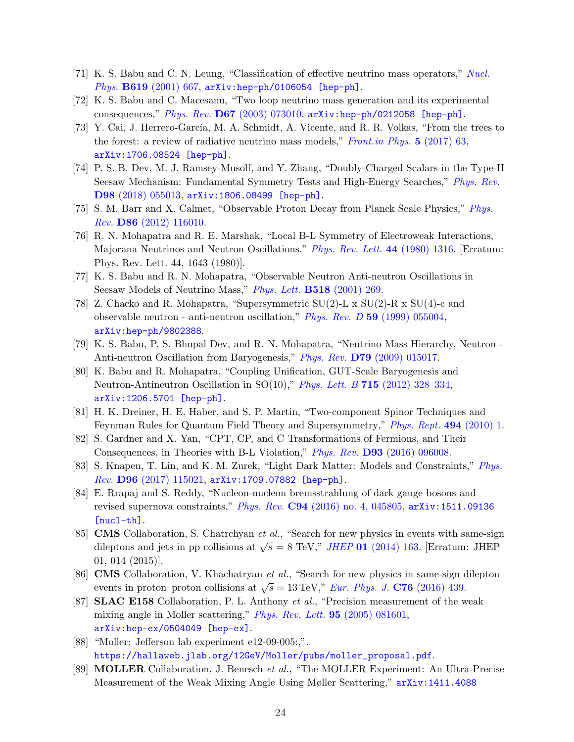- [71] K. S. Babu and C. N. Leung, "Classification of effective neutrino mass operators," [Nucl.](http://dx.doi.org/10.1016/S0550-3213(01)00504-1) Phys. B619 [\(2001\) 667,](http://dx.doi.org/10.1016/S0550-3213(01)00504-1) [arXiv:hep-ph/0106054 \[hep-ph\]](http://arxiv.org/abs/hep-ph/0106054).
- <span id="page-23-1"></span>[72] K. S. Babu and C. Macesanu, "Two loop neutrino mass generation and its experimental consequences," Phys. Rev. D67 [\(2003\) 073010,](http://dx.doi.org/10.1103/PhysRevD.67.073010) [arXiv:hep-ph/0212058 \[hep-ph\]](http://arxiv.org/abs/hep-ph/0212058).
- <span id="page-23-0"></span>[73] Y. Cai, J. Herrero-García, M. A. Schmidt, A. Vicente, and R. R. Volkas, "From the trees to the forest: a review of radiative neutrino mass models," [Front.in Phys.](http://dx.doi.org/10.3389/fphy.2017.00063)  $5$  (2017) 63, [arXiv:1706.08524 \[hep-ph\]](http://arxiv.org/abs/1706.08524).
- <span id="page-23-2"></span>[74] P. S. B. Dev, M. J. Ramsey-Musolf, and Y. Zhang, "Doubly-Charged Scalars in the Type-II Seesaw Mechanism: Fundamental Symmetry Tests and High-Energy Searches," [Phys. Rev.](http://dx.doi.org/10.1103/PhysRevD.98.055013) D98 [\(2018\) 055013,](http://dx.doi.org/10.1103/PhysRevD.98.055013) [arXiv:1806.08499 \[hep-ph\]](http://arxiv.org/abs/1806.08499).
- <span id="page-23-3"></span>[75] S. M. Barr and X. Calmet, "Observable Proton Decay from Planck Scale Physics," [Phys.](http://dx.doi.org/10.1103/PhysRevD.86.116010) Rev. D86 [\(2012\) 116010.](http://dx.doi.org/10.1103/PhysRevD.86.116010)
- <span id="page-23-4"></span>[76] R. N. Mohapatra and R. E. Marshak, "Local B-L Symmetry of Electroweak Interactions, Majorana Neutrinos and Neutron Oscillations," [Phys. Rev. Lett.](http://dx.doi.org/10.1103/PhysRevLett.44.1644.2, 10.1103/PhysRevLett.44.1316) 44 (1980) 1316. [Erratum: Phys. Rev. Lett. 44, 1643 (1980)].
- <span id="page-23-5"></span>[77] K. S. Babu and R. N. Mohapatra, "Observable Neutron Anti-neutron Oscillations in Seesaw Models of Neutrino Mass," [Phys. Lett.](http://dx.doi.org/10.1016/S0370-2693(01)01077-2) **B518** (2001) 269.
- <span id="page-23-6"></span>[78] Z. Chacko and R. Mohapatra, "Supersymmetric  $SU(2)$ -L x  $SU(2)$ -R x  $SU(4)$ -c and observable neutron - anti-neutron oscillation," Phys. Rev. D 59 [\(1999\) 055004,](http://dx.doi.org/10.1103/PhysRevD.59.055004) [arXiv:hep-ph/9802388](http://arxiv.org/abs/hep-ph/9802388).
- <span id="page-23-7"></span>[79] K. S. Babu, P. S. Bhupal Dev, and R. N. Mohapatra, "Neutrino Mass Hierarchy, Neutron - Anti-neutron Oscillation from Baryogenesis," Phys. Rev. D79 [\(2009\) 015017.](http://dx.doi.org/10.1103/PhysRevD.79.015017)
- <span id="page-23-8"></span>[80] K. Babu and R. Mohapatra, "Coupling Unification, GUT-Scale Baryogenesis and Neutron-Antineutron Oscillation in SO(10)," Phys. Lett. B 715 [\(2012\) 328–334,](http://dx.doi.org/10.1016/j.physletb.2012.08.006) [arXiv:1206.5701 \[hep-ph\]](http://arxiv.org/abs/1206.5701).
- <span id="page-23-9"></span>[81] H. K. Dreiner, H. E. Haber, and S. P. Martin, "Two-component Spinor Techniques and Feynman Rules for Quantum Field Theory and Supersymmetry," [Phys. Rept.](http://dx.doi.org/10.1016/j.physrep.2010.05.002) 494 (2010) 1.
- <span id="page-23-10"></span>[82] S. Gardner and X. Yan, "CPT, CP, and C Transformations of Fermions, and Their Consequences, in Theories with B-L Violation," Phys. Rev. D93 [\(2016\) 096008.](http://dx.doi.org/10.1103/PhysRevD.93.096008)
- <span id="page-23-11"></span>[83] S. Knapen, T. Lin, and K. M. Zurek, "Light Dark Matter: Models and Constraints," [Phys.](http://dx.doi.org/10.1103/PhysRevD.96.115021)  $Rev.$   $D96$   $(2017)$   $115021$ ,  $arXiv:1709.07882$  [hep-ph].
- <span id="page-23-12"></span>[84] E. Rrapaj and S. Reddy, "Nucleon-nucleon bremsstrahlung of dark gauge bosons and revised supernova constraints," Phys. Rev. C94 [\(2016\) no. 4, 045805,](http://dx.doi.org/10.1103/PhysRevC.94.045805) [arXiv:1511.09136](http://arxiv.org/abs/1511.09136) [\[nucl-th\]](http://arxiv.org/abs/1511.09136).
- <span id="page-23-13"></span>[85] CMS Collaboration, S. Chatrchyan et al., "Search for new physics in events with same-sign dileptons and jets in pp collisions at  $\sqrt{s} = 8$  TeV," *JHEP* 01 [\(2014\) 163.](http://dx.doi.org/10.1007/JHEP01(2014)163) [Erratum: JHEP 01, 014 (2015)].
- <span id="page-23-14"></span>[86] CMS Collaboration, V. Khachatryan et al., "Search for new physics in same-sign dilepton events in proton–proton collisions at  $\sqrt{s} = 13 \text{ TeV}$ ," *[Eur. Phys. J.](http://dx.doi.org/10.1140/epjc/s10052-016-4261-z)* **C76** (2016) 439.
- <span id="page-23-15"></span>[87] **SLAC E158** Collaboration, P. L. Anthony *et al.*, "Precision measurement of the weak mixing angle in Moller scattering," *[Phys. Rev. Lett.](http://dx.doi.org/10.1103/PhysRevLett.95.081601)* **95** (2005) 081601, [arXiv:hep-ex/0504049 \[hep-ex\]](http://arxiv.org/abs/hep-ex/0504049).
- <span id="page-23-16"></span>[88] "Moller: Jefferson lab experiment e12-09-005:,". [https://hallaweb.jlab.org/12GeV/Moller/pubs/moller\\_proposal.pdf](https://hallaweb.jlab.org/12GeV/Moller/pubs/moller_proposal.pdf).
- <span id="page-23-17"></span>[89] MOLLER Collaboration, J. Benesch et al., "The MOLLER Experiment: An Ultra-Precise Measurement of the Weak Mixing Angle Using Møller Scattering," [arXiv:1411.4088](http://arxiv.org/abs/1411.4088)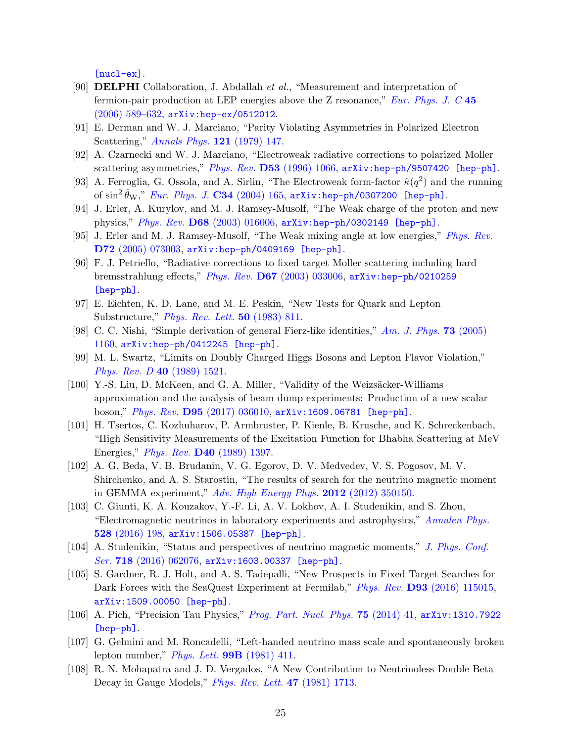[\[nucl-ex\]](http://arxiv.org/abs/1411.4088).

- <span id="page-24-0"></span>[90] DELPHI Collaboration, J. Abdallah et al., "Measurement and interpretation of fermion-pair production at LEP energies above the Z resonance," [Eur. Phys. J. C](http://dx.doi.org/10.1140/epjc/s2005-02461-0)  $45$ [\(2006\) 589–632,](http://dx.doi.org/10.1140/epjc/s2005-02461-0) [arXiv:hep-ex/0512012](http://arxiv.org/abs/hep-ex/0512012).
- <span id="page-24-1"></span>[91] E. Derman and W. J. Marciano, "Parity Violating Asymmetries in Polarized Electron Scattering," [Annals Phys.](http://dx.doi.org/10.1016/0003-4916(79)90095-2) 121 (1979) 147.
- <span id="page-24-3"></span>[92] A. Czarnecki and W. J. Marciano, "Electroweak radiative corrections to polarized Moller scattering asymmetries," Phys. Rev. D53 [\(1996\) 1066,](http://dx.doi.org/10.1103/PhysRevD.53.1066) [arXiv:hep-ph/9507420 \[hep-ph\]](http://arxiv.org/abs/hep-ph/9507420).
- [93] A. Ferroglia, G. Ossola, and A. Sirlin, "The Electroweak form-factor  $\hat{\kappa}(q^2)$  and the running of  $\sin^2 \hat{\theta}_W$ ," *[Eur. Phys. J.](http://dx.doi.org/10.1140/epjc/s2004-01604-1)* **C34** (2004) 165,  $\arXiv:$  hep-ph/0307200 [hep-ph].
- [94] J. Erler, A. Kurylov, and M. J. Ramsey-Musolf, "The Weak charge of the proton and new physics," Phys. Rev. D68 [\(2003\) 016006,](http://dx.doi.org/10.1103/PhysRevD.68.016006) [arXiv:hep-ph/0302149 \[hep-ph\]](http://arxiv.org/abs/hep-ph/0302149).
- [95] J. Erler and M. J. Ramsey-Musolf, "The Weak mixing angle at low energies," [Phys. Rev.](http://dx.doi.org/10.1103/PhysRevD.72.073003) D72 [\(2005\) 073003,](http://dx.doi.org/10.1103/PhysRevD.72.073003) [arXiv:hep-ph/0409169 \[hep-ph\]](http://arxiv.org/abs/hep-ph/0409169).
- <span id="page-24-2"></span>[96] F. J. Petriello, "Radiative corrections to fixed target Moller scattering including hard bremsstrahlung effects," Phys. Rev. D67 [\(2003\) 033006,](http://dx.doi.org/10.1103/PhysRevD.67.033006) [arXiv:hep-ph/0210259](http://arxiv.org/abs/hep-ph/0210259) [\[hep-ph\]](http://arxiv.org/abs/hep-ph/0210259).
- <span id="page-24-4"></span>[97] E. Eichten, K. D. Lane, and M. E. Peskin, "New Tests for Quark and Lepton Substructure," [Phys. Rev. Lett.](http://dx.doi.org/10.1103/PhysRevLett.50.811) 50 (1983) 811.
- <span id="page-24-5"></span>[98] C. C. Nishi, "Simple derivation of general Fierz-like identities," [Am. J. Phys.](http://dx.doi.org/10.1119/1.2074087) **73** (2005) [1160,](http://dx.doi.org/10.1119/1.2074087) [arXiv:hep-ph/0412245 \[hep-ph\]](http://arxiv.org/abs/hep-ph/0412245).
- <span id="page-24-6"></span>[99] M. L. Swartz, "Limits on Doubly Charged Higgs Bosons and Lepton Flavor Violation," [Phys. Rev. D](http://dx.doi.org/10.1103/PhysRevD.40.1521) 40 (1989) 1521.
- <span id="page-24-7"></span>[100] Y.-S. Liu, D. McKeen, and G. A. Miller, "Validity of the Weizsäcker-Williams approximation and the analysis of beam dump experiments: Production of a new scalar boson," Phys. Rev. D95 [\(2017\) 036010,](http://dx.doi.org/10.1103/PhysRevD.95.036010) [arXiv:1609.06781 \[hep-ph\]](http://arxiv.org/abs/1609.06781).
- <span id="page-24-8"></span>[101] H. Tsertos, C. Kozhuharov, P. Armbruster, P. Kienle, B. Krusche, and K. Schreckenbach, "High Sensitivity Measurements of the Excitation Function for Bhabha Scattering at MeV Energies," Phys. Rev. D40 [\(1989\) 1397.](http://dx.doi.org/10.1103/PhysRevD.40.1397)
- <span id="page-24-9"></span>[102] A. G. Beda, V. B. Brudanin, V. G. Egorov, D. V. Medvedev, V. S. Pogosov, M. V. Shirchenko, and A. S. Starostin, "The results of search for the neutrino magnetic moment in GEMMA experiment," [Adv. High Energy Phys.](http://dx.doi.org/10.1155/2012/350150) 2012 (2012) 350150.
- <span id="page-24-10"></span>[103] C. Giunti, K. A. Kouzakov, Y.-F. Li, A. V. Lokhov, A. I. Studenikin, and S. Zhou, "Electromagnetic neutrinos in laboratory experiments and astrophysics," [Annalen Phys.](http://dx.doi.org/10.1002/andp.201500211) 528 [\(2016\) 198,](http://dx.doi.org/10.1002/andp.201500211) [arXiv:1506.05387 \[hep-ph\]](http://arxiv.org/abs/1506.05387).
- <span id="page-24-11"></span>[104] A. Studenikin, "Status and perspectives of neutrino magnetic moments," [J. Phys. Conf.](http://dx.doi.org/10.1088/1742-6596/718/6/062076) Ser. 718 [\(2016\) 062076,](http://dx.doi.org/10.1088/1742-6596/718/6/062076) [arXiv:1603.00337 \[hep-ph\]](http://arxiv.org/abs/1603.00337).
- <span id="page-24-12"></span>[105] S. Gardner, R. J. Holt, and A. S. Tadepalli, "New Prospects in Fixed Target Searches for Dark Forces with the SeaQuest Experiment at Fermilab," *Phys. Rev.* **D93** [\(2016\) 115015,](http://dx.doi.org/10.1103/PhysRevD.93.115015) [arXiv:1509.00050 \[hep-ph\]](http://arxiv.org/abs/1509.00050).
- <span id="page-24-13"></span>[106] A. Pich, "Precision Tau Physics," [Prog. Part. Nucl. Phys.](http://dx.doi.org/10.1016/j.ppnp.2013.11.002) 75 (2014) 41, [arXiv:1310.7922](http://arxiv.org/abs/1310.7922) [\[hep-ph\]](http://arxiv.org/abs/1310.7922).
- <span id="page-24-14"></span>[107] G. Gelmini and M. Roncadelli, "Left-handed neutrino mass scale and spontaneously broken lepton number," *[Phys. Lett.](http://dx.doi.org/https://doi.org/10.1016/0370-2693(81)90559-1)* **99B** (1981) 411.
- [108] R. N. Mohapatra and J. D. Vergados, "A New Contribution to Neutrinoless Double Beta Decay in Gauge Models," *[Phys. Rev. Lett.](http://dx.doi.org/10.1103/PhysRevLett.47.1713)* 47 (1981) 1713.